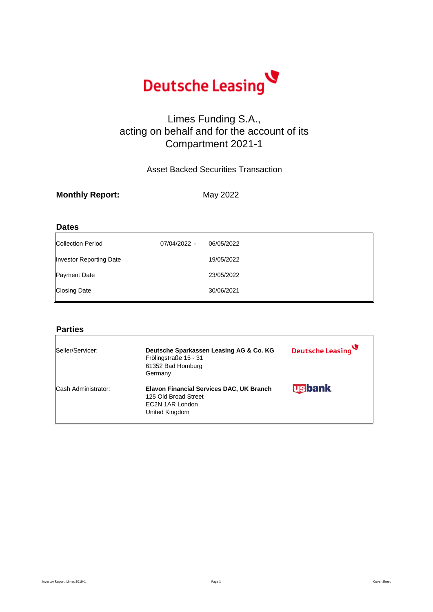

### Limes Funding S.A., acting on behalf and for the account of its Compartment 2021-1

#### Asset Backed Securities Transaction

| <b>Monthly Report:</b> | May 2022 |
|------------------------|----------|
|                        |          |

#### **Dates**

| <b>Collection Period</b> | 07/04/2022 - | 06/05/2022 |
|--------------------------|--------------|------------|
| Investor Reporting Date  |              | 19/05/2022 |
| Payment Date             |              | 23/05/2022 |
| <b>Closing Date</b>      |              | 30/06/2021 |

#### **Parties**

| Seller/Servicer:           | Deutsche Sparkassen Leasing AG & Co. KG<br>Frölingstraße 15 - 31<br>61352 Bad Homburg<br>Germany      | Deutsche Leasing |
|----------------------------|-------------------------------------------------------------------------------------------------------|------------------|
| <b>Cash Administrator:</b> | Elavon Financial Services DAC, UK Branch<br>125 Old Broad Street<br>EC2N 1AR London<br>United Kingdom | <b>Usbank</b>    |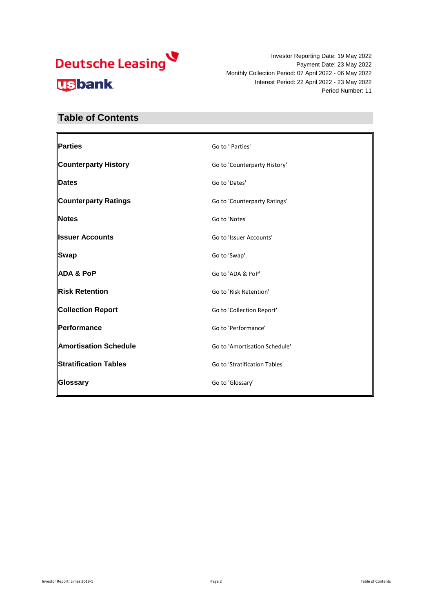Investor Reporting Date: 19 May 2022 Payment Date: 23 May 2022 Monthly Collection Period: 07 April 2022 - 06 May 2022 Interest Period: 22 April 2022 - 23 May 2022 Period Number: 11

### **Table of Contents**

| Parties                      | Go to ' Parties'              |
|------------------------------|-------------------------------|
| <b>Counterparty History</b>  | Go to 'Counterparty History'  |
| <b>Dates</b>                 | Go to 'Dates'                 |
| <b>Counterparty Ratings</b>  | Go to 'Counterparty Ratings'  |
| Notes                        | Go to 'Notes'                 |
| <b>Issuer Accounts</b>       | Go to 'Issuer Accounts'       |
| <b>Swap</b>                  | Go to 'Swap'                  |
| <b>ADA &amp; PoP</b>         | Go to 'ADA & PoP'             |
| <b>Risk Retention</b>        | Go to 'Risk Retention'        |
| <b>Collection Report</b>     | Go to 'Collection Report'     |
| Performance                  | Go to 'Performance'           |
| <b>Amortisation Schedule</b> | Go to 'Amortisation Schedule' |
| <b>Stratification Tables</b> | Go to 'Stratification Tables' |
| Glossary                     | Go to 'Glossary'              |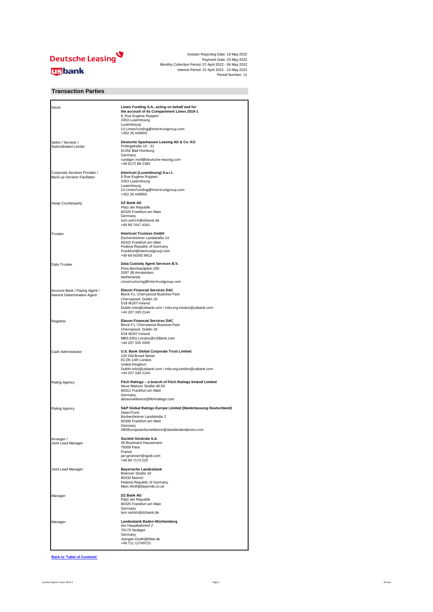

#### **Transaction Parties**

| Issuer                                                        | Limes Funding S.A., acting on behalf and for<br>the account of its Compartment Limes 2019-1<br>6, Rue Eugène Ruppert<br>2453 Luxembourg<br>Luxembourg<br>LU-LimesFunding@Intertrustgroup.com<br>+352 26 449993 |
|---------------------------------------------------------------|----------------------------------------------------------------------------------------------------------------------------------------------------------------------------------------------------------------|
| Seller / Servicer /<br>Subordinated Lender                    | Deutsche Sparkassen Leasing AG & Co. KG<br>Frölingstraße 15 - 31<br>61352 Bad Homburg<br>Germany<br>ruediger.moll@deutsche-leasing.com<br>+49 6172 88-1383                                                     |
| Corporate Services Provider /<br>Back-up Servicer Facilitator | Intertrust (Luxembourg) S.a.r.l.<br>6 Rue Eugène Ruppert<br>2453 Luxembourg<br>Luxembourg<br>LU-LimesFunding@Intertrustgroup.com<br>+352 26 449993                                                             |
| Swap Counterparty                                             | <b>DZ Bank AG</b><br>Platz der Republik<br>60325 Frankfurt am Main<br>Germany<br>tom.oelrich@dzbank.de<br>+49 69 7447 4341                                                                                     |
| Trustee                                                       | <b>Intertrust Trustees GmbH</b><br>Eschersheimer Landstraße 14<br>60322 Frankfurt am Main<br>Federal Republic of Germany<br>Frankfurt@intertrustgroup.com<br>+49 69 64350 8913                                 |
| Data Trustee                                                  | Data Custody Agent Services B.V.<br>Prins Bernhardplein 200<br>1097 JB Amsterdam<br>Netherlands<br>cmsstructuring@intertrustgroup.com                                                                          |
| Account Bank / Paying Agent /<br>Interest Determination Agent | <b>Elavon Financial Services DAC</b><br>Block F1, Cherrywood Business Park<br>Cherrywood, Dublin 18<br>D18 W2X7 Ireland<br>Dublin.mbs@usbank.com / mbs.erg.london@usbank.com<br>+44 207 330 2144               |
| Registrar                                                     | <b>Elavon Financial Services DAC</b><br>Block F1, Cherrywood Business Park<br>Cherrywood, Dublin 18<br>D18 W2X7 Ireland<br>MBS.ERG.London@USBank.com<br>+44 207 330 2000                                       |
| Cash Administrator                                            | U.S. Bank Global Corporate Trust Limited<br>125 Old Broad Street<br>EC2N 1AR London<br>United Kingdom<br>Dublin.mbs@usbank.com / mbs.erg.london@usbank.com<br>+44 207 330 2144                                 |
| Rating Agency                                                 | Fitch Ratings - a branch of Fitch Ratings Ireland Limited<br>Neue Mainzer Straße 46-50<br>60311 Frankfurt am Main<br>Germany<br>abssurveillance@fitchratings.com                                               |
| Rating Agency                                                 | S&P Global Ratings Europe Limited (Niederlassung Deutschland)<br>OpernTurm<br>Bockenheimer Landstraße 2<br>60306 Frankfurt am Main<br>Germany<br>ABSEuropeanSurveillance@standardandpoors.com                  |
| Arranger /<br>Joint Lead Manager                              | Société Générale S.A.<br>29 Boulevard Haussmann<br>75009 Paris<br>France<br>jan.groesser@sgcib.com<br>+49 69 7174 225                                                                                          |
| Joint Lead Manager                                            | <b>Bayerische Landesbank</b><br>Brienner Straße 18<br>80333 Munich<br>Federal Republic of Germany<br>Marc.Wolf@bayernlb.co.uk                                                                                  |
| Manager                                                       | <b>DZ Bank AG</b><br>Platz der Republik<br>60325 Frankfurt am Main<br>Germany<br>tom.oelrich@dzbank.de                                                                                                         |
| Manager                                                       | Landesbank Baden-Württemberg<br>Am Hauptbahnhof 2<br>70173 Stuttgart<br>Germany<br>Juergen.Groth@lbbw.de<br>+49 711 12749721                                                                                   |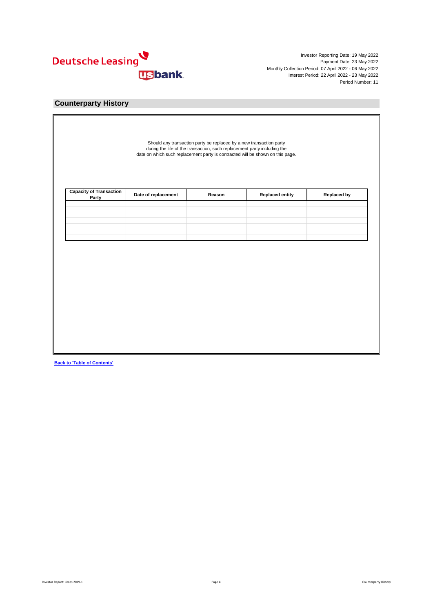

#### **Counterparty History**

| Party |  |
|-------|--|
|       |  |
|       |  |
|       |  |
|       |  |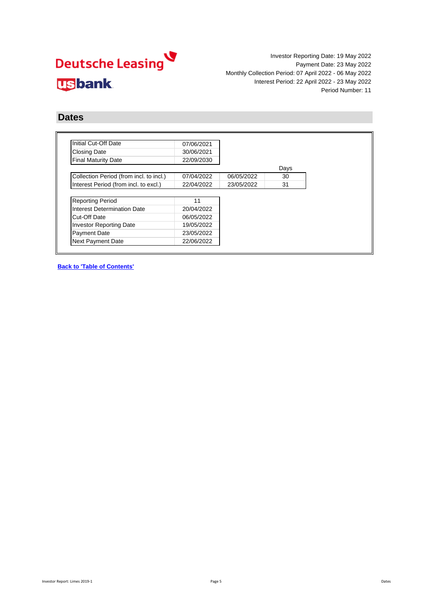Investor Reporting Date: 19 May 2022 Payment Date: 23 May 2022 Monthly Collection Period: 07 April 2022 - 06 May 2022 Interest Period: 22 April 2022 - 23 May 2022 Period Number: 11

#### **Dates**

| Initial Cut-Off Date                    | 07/06/2021 |            |      |
|-----------------------------------------|------------|------------|------|
| <b>Closing Date</b>                     | 30/06/2021 |            |      |
| <b>Final Maturity Date</b>              | 22/09/2030 |            |      |
|                                         |            |            | Days |
| Collection Period (from incl. to incl.) | 07/04/2022 | 06/05/2022 | 30   |
| Interest Period (from incl. to excl.)   | 22/04/2022 | 23/05/2022 | 31   |
|                                         |            |            |      |
| <b>Reporting Period</b>                 | 11         |            |      |
| Interest Determination Date             | 20/04/2022 |            |      |
| Cut-Off Date                            | 06/05/2022 |            |      |
| <b>Investor Reporting Date</b>          | 19/05/2022 |            |      |
| Payment Date                            | 23/05/2022 |            |      |
|                                         | 22/06/2022 |            |      |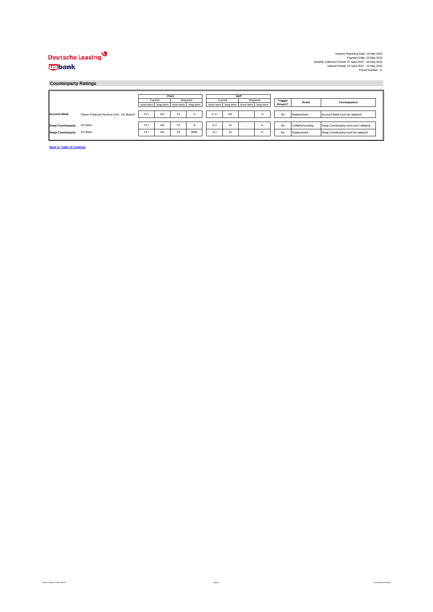#### **Counterparty Ratings**

|                          |                                          |            | Fitch     |                      |          |  |         | S&P                                             |          |         |  |                    |                                        |  |  |  |  |  |  |  |  |  |  |  |  |  |  |  |  |       |             |
|--------------------------|------------------------------------------|------------|-----------|----------------------|----------|--|---------|-------------------------------------------------|----------|---------|--|--------------------|----------------------------------------|--|--|--|--|--|--|--|--|--|--|--|--|--|--|--|--|-------|-------------|
|                          |                                          |            | Current   |                      | Required |  | Current |                                                 | Required | Trigger |  |                    |                                        |  |  |  |  |  |  |  |  |  |  |  |  |  |  |  |  | Event | Consequence |
|                          |                                          | short-term | long-term | short-term long-term |          |  |         | short-term   long-term   short-term   long-term |          | Breach? |  |                    |                                        |  |  |  |  |  |  |  |  |  |  |  |  |  |  |  |  |       |             |
|                          |                                          |            |           |                      |          |  |         |                                                 |          |         |  |                    |                                        |  |  |  |  |  |  |  |  |  |  |  |  |  |  |  |  |       |             |
| <b>Account Bank</b>      | Elavon Financial Services DAC, UK Branch | $F1+$      | AA-       | F <sub>1</sub>       | А        |  | $A-1+$  | AA-                                             |          | No      |  | Replacement        | Account Bank must be replaced          |  |  |  |  |  |  |  |  |  |  |  |  |  |  |  |  |       |             |
|                          |                                          |            |           |                      |          |  |         |                                                 |          |         |  |                    |                                        |  |  |  |  |  |  |  |  |  |  |  |  |  |  |  |  |       |             |
| <b>Swap Counterparty</b> | DZ Bank                                  | $F1+$      | AA-       | F <sub>1</sub>       |          |  | $A-1$   | A+                                              | А-       | No      |  | Collateral posting | Swap Counterparty must post collateral |  |  |  |  |  |  |  |  |  |  |  |  |  |  |  |  |       |             |
| <b>Swap Counterparty</b> | DZ Bank                                  | $F1+$      | AA-       | F <sub>3</sub>       | BBB-     |  | $A-1$   | $A+$                                            | A-       | No      |  | Replacement        | Swap Counterparty must be replaced     |  |  |  |  |  |  |  |  |  |  |  |  |  |  |  |  |       |             |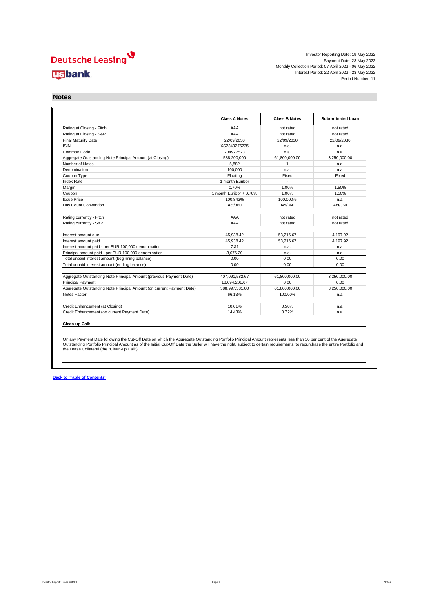Investor Reporting Date: 19 May 2022 Payment Date: 23 May 2022 Monthly Collection Period: 07 April 2022 - 06 May 2022 Interest Period: 22 April 2022 - 23 May 2022 Period Number: 11

**Notes**

|                                                                       | <b>Class A Notes</b>    | <b>Class B Notes</b> | <b>Subordinated Loan</b> |
|-----------------------------------------------------------------------|-------------------------|----------------------|--------------------------|
| Rating at Closing - Fitch                                             | AAA                     | not rated            | not rated                |
| Rating at Closing - S&P                                               | AAA                     | not rated            | not rated                |
| <b>Final Maturity Date</b>                                            | 22/09/2030              | 22/09/2030           | 22/09/2030               |
| <b>ISIN</b>                                                           | XS2349275235            | n.a.                 | n.a.                     |
| Common Code                                                           | 234927523               | n.a.                 | n.a.                     |
| Aggregate Outstanding Note Principal Amount (at Closing)              | 588.200.000             | 61.800.000.00        | 3.250.000.00             |
| Number of Notes                                                       | 5.882                   | $\mathbf{1}$         | n.a.                     |
| Denomination                                                          | 100.000                 | n.a.                 | n.a.                     |
| Coupon Type                                                           | Floating                | Fixed                | Fixed                    |
| <b>Index Rate</b>                                                     | 1 month Euribor         |                      |                          |
| Margin                                                                | 0.70%                   | 1.00%                | 1.50%                    |
| Coupon                                                                | 1 month Euribor + 0.70% | 1.00%                | 1.50%                    |
| <b>Issue Price</b>                                                    | 100.842%                | 100.000%             | n.a.                     |
| Day Count Convention                                                  | Act/360                 | Act/360              | Act/360                  |
|                                                                       |                         |                      |                          |
| Rating currently - Fitch                                              | AAA                     | not rated            | not rated                |
| Rating currently - S&P                                                | AAA                     | not rated            | not rated                |
| Interest amount due                                                   | 45.938.42               | 53.216.67            | 4.197.92                 |
| Interest amount paid                                                  | 45.938.42               | 53.216.67            | 4.197.92                 |
| Interest amount paid - per EUR 100,000 denomination                   | 7.81                    | n.a.                 | n.a.                     |
| Principal amount paid - per EUR 100,000 denomination                  | 3.076.20                | n.a.                 | n.a.                     |
| Total unpaid interest amount (beginning balance)                      | 0.00                    | 0.00                 | 0.00                     |
| Total unpaid interest amount (ending balance)                         | 0.00                    | 0.00                 | 0.00                     |
|                                                                       |                         |                      |                          |
| Aggregate Outstanding Note Principal Amount (previous Payment Date)   | 407,091,582.67          | 61.800.000.00        | 3.250.000.00             |
| <b>Principal Payment</b>                                              | 18.094.201.67           | 0.00                 | 0.00                     |
| Aggregate Outstanding Note Principal Amount (on current Payment Date) | 388.997.381.00          | 61.800.000.00        | 3.250.000.00             |
|                                                                       | 66.13%                  | 100.00%              | n.a.                     |
| Notes Factor                                                          |                         |                      |                          |
|                                                                       |                         |                      |                          |
| Credit Enhancement (at Closing)                                       | 10.01%                  | 0.50%                | n.a.                     |

On any Payment Date following the Cut-Off Date on which the Aggregate Outstanding Portfolio Principal Amount represents less than 10 per cent of the Aggregate<br>Outstanding Portfolio Principal Amount as of the Initial Cut-O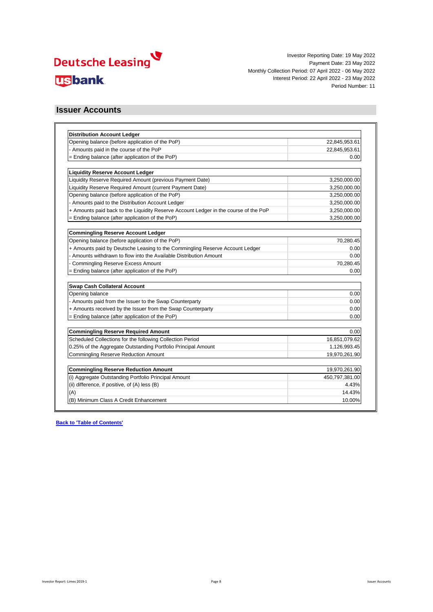

#### **Issuer Accounts**

| <b>Distribution Account Ledger</b>                                                   |                |
|--------------------------------------------------------------------------------------|----------------|
| Opening balance (before application of the PoP)                                      | 22,845,953.61  |
| - Amounts paid in the course of the PoP                                              | 22,845,953.61  |
| = Ending balance (after application of the PoP)                                      | 0.00           |
| <b>Liquidity Reserve Account Ledger</b>                                              |                |
| Liquidity Reserve Required Amount (previous Payment Date)                            | 3,250,000.00   |
| Liquidity Reserve Required Amount (current Payment Date)                             | 3,250,000.00   |
| Opening balance (before application of the PoP)                                      | 3,250,000.00   |
| - Amounts paid to the Distribution Account Ledger                                    | 3,250,000.00   |
| + Amounts paid back to the Liquidity Reserve Account Ledger in the course of the PoP | 3,250,000.00   |
| = Ending balance (after application of the PoP)                                      | 3,250,000.00   |
| <b>Commingling Reserve Account Ledger</b>                                            |                |
| Opening balance (before application of the PoP)                                      | 70,280.45      |
| + Amounts paid by Deutsche Leasing to the Commingling Reserve Account Ledger         | 0.00           |
| - Amounts withdrawn to flow into the Available Distribution Amount                   | 0.00           |
| <b>Commingling Reserve Excess Amount</b>                                             | 70,280.45      |
| = Ending balance (after application of the PoP)                                      | 0.00           |
| Swap Cash Collateral Account                                                         |                |
| Opening balance                                                                      | 0.00           |
| - Amounts paid from the Issuer to the Swap Counterparty                              | 0.00           |
| + Amounts received by the Issuer from the Swap Counterparty                          | 0.00           |
| = Ending balance (after application of the PoP)                                      | 0.00           |
| <b>Commingling Reserve Required Amount</b>                                           | 0.00           |
| Scheduled Collections for the following Collection Period                            | 16,851,079.62  |
| 0.25% of the Aggregate Outstanding Portfolio Principal Amount                        | 1,126,993.45   |
| <b>Commingling Reserve Reduction Amount</b>                                          | 19,970,261.90  |
| <b>Commingling Reserve Reduction Amount</b>                                          | 19,970,261.90  |
| (i) Aggregate Outstanding Portfolio Principal Amount                                 | 450,797,381.00 |
| (ii) difference, if positive, of (A) less (B)                                        | 4.43%          |
| (A)                                                                                  | 14.43%         |
| (B) Minimum Class A Credit Enhancement                                               | 10.00%         |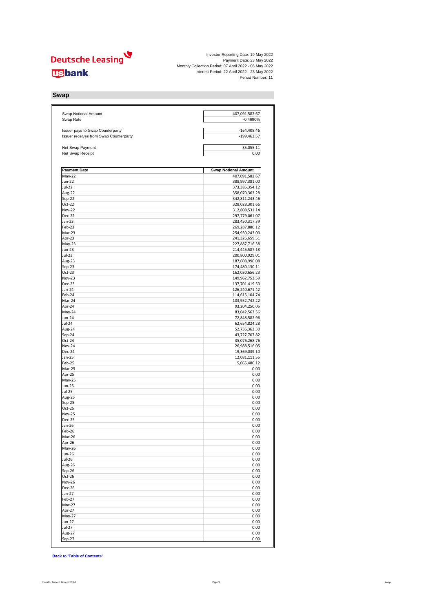Investor Reporting Date: 19 May 2022<br>Payment Date: 23 May 2022<br>Monthly Collection Period: 07 April 2022 - 06 May 2022<br>Interest Period: 22 April 2022 - 23 May 2022<br>Period Number: 11

**Swap**

| Swap Notional Amount<br>Swap Rate                                          | 407,091,582.67<br>$-0.4690%$     |
|----------------------------------------------------------------------------|----------------------------------|
|                                                                            |                                  |
| Issuer pays to Swap Counterparty<br>Issuer receives from Swap Counterparty | $-164,408.46$<br>$-199,463.57$   |
| Net Swap Payment                                                           | 35,055.11                        |
| Net Swap Receipt                                                           | 0.00                             |
| <b>Payment Date</b>                                                        | <b>Swap Notional Amount</b>      |
| May-22                                                                     | 407,091,582.67                   |
| Jun-22                                                                     | 388,997,381.00                   |
| <b>Jul-22</b>                                                              | 373,385,354.12                   |
| Aug-22                                                                     | 358,070,363.28                   |
| Sep-22                                                                     | 342,811,243.46                   |
| Oct-22                                                                     | 328,028,301.66                   |
| <b>Nov-22</b>                                                              | 312,808,531.14                   |
| Dec-22                                                                     | 297,779,061.07                   |
| Jan-23<br>Feb-23                                                           | 283,450,317.39                   |
| Mar-23                                                                     | 269,287,880.12<br>254,930,243.00 |
| Apr-23                                                                     | 241,326,659.51                   |
| $May-23$                                                                   | 227,887,716.38                   |
| Jun-23                                                                     | 214,445,587.18                   |
| $Jul-23$                                                                   | 200,800,929.01                   |
| Aug-23                                                                     | 187,608,990.08                   |
| Sep-23                                                                     | 174,480,130.11                   |
| Oct-23                                                                     | 162,030,656.23                   |
| Nov-23                                                                     | 149,962,753.59                   |
| <b>Dec-23</b>                                                              | 137,701,419.50                   |
| Jan-24                                                                     | 126,240,671.42                   |
| Feb-24                                                                     | 114,615,104.74                   |
| Mar-24                                                                     | 103,952,742.22                   |
| Apr-24                                                                     | 93,204,250.05                    |
| May-24                                                                     | 83,042,563.56                    |
| Jun-24                                                                     | 72,848,582.96                    |
| Jul-24                                                                     | 62,654,824.28                    |
| Aug-24                                                                     | 52,736,363.30                    |
| Sep-24                                                                     | 43,727,707.82                    |
| Oct-24                                                                     | 35,076,268.76                    |
| Nov-24<br>Dec-24                                                           | 26,988,516.05                    |
| Jan-25                                                                     | 19,369,039.10<br>12,081,111.55   |
| Feb-25                                                                     | 5,065,480.12                     |
| Mar-25                                                                     | 0.00                             |
| Apr-25                                                                     | 0.00                             |
| May-25                                                                     | 0.00                             |
| <b>Jun-25</b>                                                              | 0.00                             |
| <b>Jul-25</b>                                                              | 0.00                             |
| Aug-25                                                                     | 0.00                             |
| Sep-25                                                                     | 0.00                             |
| Oct-25                                                                     | 0.00                             |
| <b>Nov-25</b>                                                              | 0.00                             |
| Dec-25                                                                     | 0.00                             |
| Jan-26                                                                     | 0.00                             |
| Feb-26                                                                     | 0.00                             |
| Mar-26                                                                     | 0.00                             |
| Apr-26                                                                     | 0.00                             |
| May-26                                                                     | 0.00                             |
| <b>Jun-26</b>                                                              | 0.00                             |
| Jul-26                                                                     | 0.00                             |
| Aug-26                                                                     | 0.00<br>0.00                     |
| Sep-26<br>Oct-26                                                           | 0.00                             |
| <b>Nov-26</b>                                                              | 0.00                             |
| Dec-26                                                                     | 0.00                             |
| Jan-27                                                                     | 0.00                             |
| Feb-27                                                                     | 0.00                             |
| Mar-27                                                                     | 0.00                             |
| Apr-27                                                                     | 0.00                             |
| May-27                                                                     | 0.00                             |
| Jun-27                                                                     | 0.00                             |
| Jul-27                                                                     | 0.00                             |
| Aug-27                                                                     | 0.00                             |
| Sep-27                                                                     | 0.00                             |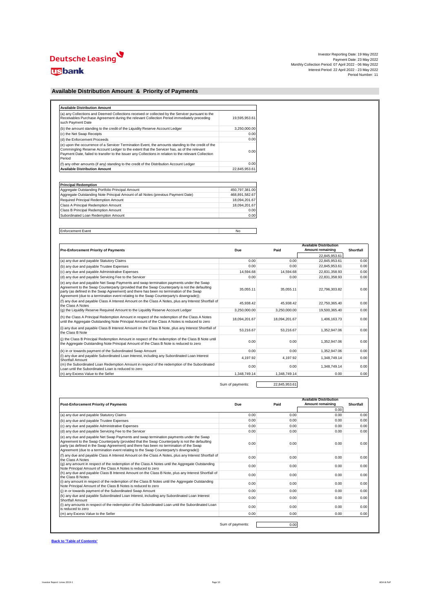# Deutsche Leasing

### **usbank**

#### **Available Distribution Amount & Priority of Payments**

| (a) any Collections and Deemed Collections received or collected by the Servicer pursuant to the<br>Receivables Purchase Agreement during the relevant Collection Period immediately preceding<br>such Payment Date                                                                                                 | 19.595.953.61 |
|---------------------------------------------------------------------------------------------------------------------------------------------------------------------------------------------------------------------------------------------------------------------------------------------------------------------|---------------|
| (b) the amount standing to the credit of the Liquidity Reserve Account Ledger                                                                                                                                                                                                                                       | 3.250.000.00  |
| (c) the Net Swap Receipts                                                                                                                                                                                                                                                                                           | 0.00          |
| (d) the Enforcement Proceeds                                                                                                                                                                                                                                                                                        | 0.00          |
| (e) upon the occurrence of a Servicer Termination Event, the amounts standing to the credit of the<br>Commingling Reserve Account Ledger to the extent that the Servicer has, as of the relevant<br>Payment Date, failed to transfer to the Issuer any Collections in relation to the relevant Collection<br>Period | 0.00          |
| (f) any other amounts (if any) standing to the credit of the Distribution Account Ledger                                                                                                                                                                                                                            | 0.00          |
| <b>Available Distribution Amount</b>                                                                                                                                                                                                                                                                                | 22,845,953.61 |

| <b>Principal Redemption</b>                                                      |                |
|----------------------------------------------------------------------------------|----------------|
| Aggregate Outstanding Portfolio Principal Amount                                 | 450.797.381.00 |
| Aggregate Outstanding Note Principal Amount of all Notes (previous Payment Date) | 468.891.582.67 |
| Required Principal Redemption Amount                                             | 18.094.201.67  |
| Class A Principal Redemption Amount                                              | 18.094.201.67  |
| Class B Principal Redemption Amount                                              | 0.00           |
| Subordinated Loan Redemption Amount                                              | 0.00           |

Enforcement Event No

| <b>Pre-Enforcement Priority of Payments</b>                                                                                                                                                                                                                                                                                                                                 | Due           | Paid          | <b>Available Distribution</b><br>Amount remaining | <b>Shortfall</b> |
|-----------------------------------------------------------------------------------------------------------------------------------------------------------------------------------------------------------------------------------------------------------------------------------------------------------------------------------------------------------------------------|---------------|---------------|---------------------------------------------------|------------------|
|                                                                                                                                                                                                                                                                                                                                                                             |               |               | 22.845.953.61                                     |                  |
| (a) any due and payable Statutory Claims                                                                                                                                                                                                                                                                                                                                    | 0.00          | 0.00          | 22,845,953.61                                     | 0.00             |
| (b) any due and payable Trustee Expenses                                                                                                                                                                                                                                                                                                                                    | 0.00          | 0.00          | 22.845.953.61                                     | 0.00             |
| (c) any due and payable Administrative Expenses                                                                                                                                                                                                                                                                                                                             | 14.594.68     | 14.594.68     | 22.831.358.93                                     | 0.00             |
| (d) any due and payable Servicing Fee to the Servicer                                                                                                                                                                                                                                                                                                                       | 0.00          | 0.00          | 22.831.358.93                                     | 0.00             |
| (e) any due and payable Net Swap Payments and swap termination payments under the Swap<br>Agreement to the Swap Counterparty (provided that the Swap Counterparty is not the defaulting<br>party (as defined in the Swap Agreement) and there has been no termination of the Swap<br>Agreement (due to a termination event relating to the Swap Counterparty's downgrade)); | 35.055.11     | 35.055.11     | 22.796.303.82                                     | 0.00             |
| (f) any due and payable Class A Interest Amount on the Class A Notes, plus any Interest Shortfall of<br>the Class A Notes                                                                                                                                                                                                                                                   | 45.938.42     | 45.938.42     | 22.750.365.40                                     | 0.00             |
| (q) the Liquidity Reserve Required Amount to the Liquidity Reserve Account Ledger                                                                                                                                                                                                                                                                                           | 3.250.000.00  | 3.250.000.00  | 19.500.365.40                                     | 0.00             |
| (h) the Class A Principal Redemption Amount in respect of the redemption of the Class A Notes<br>until the Aggregate Outstanding Note Principal Amount of the Class A Notes is reduced to zero                                                                                                                                                                              | 18,094,201.67 | 18,094,201.67 | 1,406,163.73                                      | 0.00             |
| (i) any due and payable Class B Interest Amount on the Class B Note, plus any Interest Shortfall of<br>the Class B Note                                                                                                                                                                                                                                                     | 53.216.67     | 53.216.67     | 1.352.947.06                                      | 0.00             |
| (i) the Class B Principal Redemption Amount in respect of the redemption of the Class B Note until<br>the Aggregate Outstanding Note Principal Amount of the Class B Note is reduced to zero                                                                                                                                                                                | 0.00          | 0.00          | 1,352,947.06                                      | 0.00             |
| (k) in or towards payment of the Subordinated Swap Amount                                                                                                                                                                                                                                                                                                                   | 0.00          | 0.00          | 1,352,947.06                                      | 0.00             |
| (I) any due and payable Subordinated Loan Interest, including any Subordinated Loan Interest<br>Shortfall Amount                                                                                                                                                                                                                                                            | 4.197.92      | 4.197.92      | 1.348.749.14                                      | 0.00             |
| (m) the Subordinated Loan Redemption Amount in respect of the redemption of the Subordinated<br>Loan until the Subordinated Loan is reduced to zero.                                                                                                                                                                                                                        | 0.00          | 0.00          | 1.348.749.14                                      | 0.00             |
| (n) any Excess Value to the Seller                                                                                                                                                                                                                                                                                                                                          | 1.348.749.14  | 1.348.749.14  | 0.00                                              | 0.00             |

Sum of payments: 22,845,953.61

| <b>Post-Enforcement Priority of Payments</b>                                                                                                                                                                                                                                                                                                                               | Due              | Paid | <b>Available Distribution</b><br>Amount remaining | Shortfall |
|----------------------------------------------------------------------------------------------------------------------------------------------------------------------------------------------------------------------------------------------------------------------------------------------------------------------------------------------------------------------------|------------------|------|---------------------------------------------------|-----------|
|                                                                                                                                                                                                                                                                                                                                                                            |                  |      | 0.00                                              |           |
| (a) any due and payable Statutory Claims                                                                                                                                                                                                                                                                                                                                   | 0.00             | 0.00 | 0.00                                              | 0.00      |
| (b) any due and payable Trustee Expenses                                                                                                                                                                                                                                                                                                                                   | 0.00             | 0.00 | 0.00                                              | 0.00      |
| (c) any due and payable Administrative Expenses                                                                                                                                                                                                                                                                                                                            | 0.00             | 0.00 | 0.00                                              | 0.00      |
| (d) any due and payable Servicing Fee to the Servicer                                                                                                                                                                                                                                                                                                                      | 0.00             | 0.00 | 0.00                                              | 0.00      |
| (e) any due and payable Net Swap Payments and swap termination payments under the Swap<br>Agreement to the Swap Counterparty (provided that the Swap Counterparty is not the defaulting<br>party (as defined in the Swap Agreement) and there has been no termination of the Swap<br>Agreement (due to a termination event relating to the Swap Counterparty's downgrade)) | 0.00             | 0.00 | 0.00                                              | 0.00      |
| (f) any due and payable Class A Interest Amount on the Class A Notes, plus any Interest Shortfall of<br>the Class A Notes                                                                                                                                                                                                                                                  | 0.00             | 0.00 | 0.00                                              | 0.00      |
| (q) any amount in respect of the redemption of the Class A Notes until the Aggregate Outstanding<br>Note Principal Amount of the Class A Notes is reduced to zero                                                                                                                                                                                                          | 0.00             | 0.00 | 0.00                                              | 0.00      |
| (h) any due and payable Class B Interest Amount on the Class B Note, plus any Interest Shortfall of<br>the Class B Notes                                                                                                                                                                                                                                                   | 0.00             | 0.00 | 0.00                                              | 0.00      |
| (i) any amount in respect of the redemption of the Class B Notes until the Aggregate Outstanding<br>Note Principal Amount of the Class B Notes is reduced to zero                                                                                                                                                                                                          | 0.00             | 0.00 | 0.00                                              | 0.00      |
| (i) in or towards payment of the Subordinated Swap Amount                                                                                                                                                                                                                                                                                                                  | 0.00             | 0.00 | 0.00                                              | 0.00      |
| (k) any due and payable Subordinated Loan Interest, including any Subordinated Loan Interest<br>Shortfall Amount                                                                                                                                                                                                                                                           | 0.00             | 0.00 | 0.00                                              | 0.00      |
| (I) any amounts in respect of the redemption of the Subordinated Loan until the Subordinated Loan<br>is reduced to zero                                                                                                                                                                                                                                                    | 0.00             | 0.00 | 0.00                                              | 0.00      |
| (m) any Excess Value to the Seller                                                                                                                                                                                                                                                                                                                                         | 0.00             | 0.00 | 0.00                                              | 0.00      |
|                                                                                                                                                                                                                                                                                                                                                                            |                  |      |                                                   |           |
|                                                                                                                                                                                                                                                                                                                                                                            | Sum of payments: | 0.00 |                                                   |           |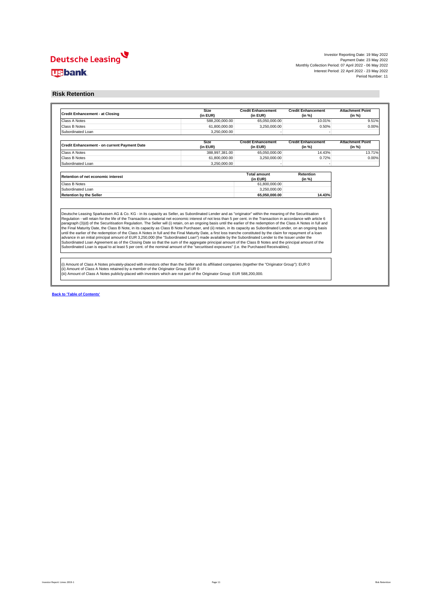#### **Risk Retention**

| 65,050,000.00<br>3,250,000.00<br><b>Credit Enhancement</b><br>(in EUR)<br>65,050,000.00<br>3,250,000.00<br><b>Total amount</b><br>(in EUR)<br>61,800,000.00<br>3.250.000.00                                                                                                                                                                                                                                                                                                                                                                                                                                                                                | 10.01%<br>0.50%<br><b>Credit Enhancement</b><br><b>Attachment Point</b><br>(in %)<br>(in %)<br>14.43%<br>0.72%<br>Retention<br>(in %)<br>14.43% | 9.51%<br>0.00%<br>13.71%<br>0.00%                                                                                                                                                                                                                                                                                                                                                                                                                                                                                                                                                                                                                                                                                                                                                                                                                                                                                                                     |
|------------------------------------------------------------------------------------------------------------------------------------------------------------------------------------------------------------------------------------------------------------------------------------------------------------------------------------------------------------------------------------------------------------------------------------------------------------------------------------------------------------------------------------------------------------------------------------------------------------------------------------------------------------|-------------------------------------------------------------------------------------------------------------------------------------------------|-------------------------------------------------------------------------------------------------------------------------------------------------------------------------------------------------------------------------------------------------------------------------------------------------------------------------------------------------------------------------------------------------------------------------------------------------------------------------------------------------------------------------------------------------------------------------------------------------------------------------------------------------------------------------------------------------------------------------------------------------------------------------------------------------------------------------------------------------------------------------------------------------------------------------------------------------------|
|                                                                                                                                                                                                                                                                                                                                                                                                                                                                                                                                                                                                                                                            |                                                                                                                                                 |                                                                                                                                                                                                                                                                                                                                                                                                                                                                                                                                                                                                                                                                                                                                                                                                                                                                                                                                                       |
|                                                                                                                                                                                                                                                                                                                                                                                                                                                                                                                                                                                                                                                            |                                                                                                                                                 |                                                                                                                                                                                                                                                                                                                                                                                                                                                                                                                                                                                                                                                                                                                                                                                                                                                                                                                                                       |
|                                                                                                                                                                                                                                                                                                                                                                                                                                                                                                                                                                                                                                                            |                                                                                                                                                 |                                                                                                                                                                                                                                                                                                                                                                                                                                                                                                                                                                                                                                                                                                                                                                                                                                                                                                                                                       |
|                                                                                                                                                                                                                                                                                                                                                                                                                                                                                                                                                                                                                                                            |                                                                                                                                                 |                                                                                                                                                                                                                                                                                                                                                                                                                                                                                                                                                                                                                                                                                                                                                                                                                                                                                                                                                       |
|                                                                                                                                                                                                                                                                                                                                                                                                                                                                                                                                                                                                                                                            |                                                                                                                                                 |                                                                                                                                                                                                                                                                                                                                                                                                                                                                                                                                                                                                                                                                                                                                                                                                                                                                                                                                                       |
|                                                                                                                                                                                                                                                                                                                                                                                                                                                                                                                                                                                                                                                            |                                                                                                                                                 |                                                                                                                                                                                                                                                                                                                                                                                                                                                                                                                                                                                                                                                                                                                                                                                                                                                                                                                                                       |
|                                                                                                                                                                                                                                                                                                                                                                                                                                                                                                                                                                                                                                                            |                                                                                                                                                 |                                                                                                                                                                                                                                                                                                                                                                                                                                                                                                                                                                                                                                                                                                                                                                                                                                                                                                                                                       |
|                                                                                                                                                                                                                                                                                                                                                                                                                                                                                                                                                                                                                                                            |                                                                                                                                                 |                                                                                                                                                                                                                                                                                                                                                                                                                                                                                                                                                                                                                                                                                                                                                                                                                                                                                                                                                       |
|                                                                                                                                                                                                                                                                                                                                                                                                                                                                                                                                                                                                                                                            |                                                                                                                                                 |                                                                                                                                                                                                                                                                                                                                                                                                                                                                                                                                                                                                                                                                                                                                                                                                                                                                                                                                                       |
|                                                                                                                                                                                                                                                                                                                                                                                                                                                                                                                                                                                                                                                            |                                                                                                                                                 |                                                                                                                                                                                                                                                                                                                                                                                                                                                                                                                                                                                                                                                                                                                                                                                                                                                                                                                                                       |
|                                                                                                                                                                                                                                                                                                                                                                                                                                                                                                                                                                                                                                                            |                                                                                                                                                 |                                                                                                                                                                                                                                                                                                                                                                                                                                                                                                                                                                                                                                                                                                                                                                                                                                                                                                                                                       |
|                                                                                                                                                                                                                                                                                                                                                                                                                                                                                                                                                                                                                                                            |                                                                                                                                                 |                                                                                                                                                                                                                                                                                                                                                                                                                                                                                                                                                                                                                                                                                                                                                                                                                                                                                                                                                       |
| 65.050.000.00                                                                                                                                                                                                                                                                                                                                                                                                                                                                                                                                                                                                                                              |                                                                                                                                                 |                                                                                                                                                                                                                                                                                                                                                                                                                                                                                                                                                                                                                                                                                                                                                                                                                                                                                                                                                       |
| Deutsche Leasing Sparkassen AG & Co. KG - in its capacity as Seller, as Subordinated Lender and as "originator" within the meaning of the Securitisation<br>Regulation - will retain for the life of the Transaction a material net economic interest of not less than 5 per cent. in the Transaction in accordance with article 6<br>paragraph (3)(d) of the Securitisation Regulation. The Seller will (i) retain, on an ongoing basis until the earlier of the redemption of the Class A Notes in full and<br>Subordinated Loan is equal to at least 5 per cent. of the nominal amount of the "securitised exposures" (i.e. the Purchased Receivables). |                                                                                                                                                 |                                                                                                                                                                                                                                                                                                                                                                                                                                                                                                                                                                                                                                                                                                                                                                                                                                                                                                                                                       |
|                                                                                                                                                                                                                                                                                                                                                                                                                                                                                                                                                                                                                                                            |                                                                                                                                                 | the Final Maturity Date, the Class B Note, in its capacity as Class B Note Purchaser, and (ii) retain, in its capacity as Subordinated Lender, on an ongoing basis<br>until the earlier of the redemption of the Class A Notes in full and the Final Maturity Date, a first loss tranche constituted by the claim for repayment of a loan<br>advance in an initial principal amount of EUR 3,250,000 (the "Subordinated Loan") made available by the Subordinated Lender to the Issuer under the<br>Subordinated Loan Agreement as of the Closing Date so that the sum of the aggregate principal amount of the Class B Notes and the principal amount of the<br>(i) Amount of Class A Notes privately-placed with investors other than the Seller and its affiliated companies (together the "Originator Group"): EUR 0<br>(iii) Amount of Class A Notes publicly-placed with investors which are not part of the Originator Group: EUR 588,200,000. |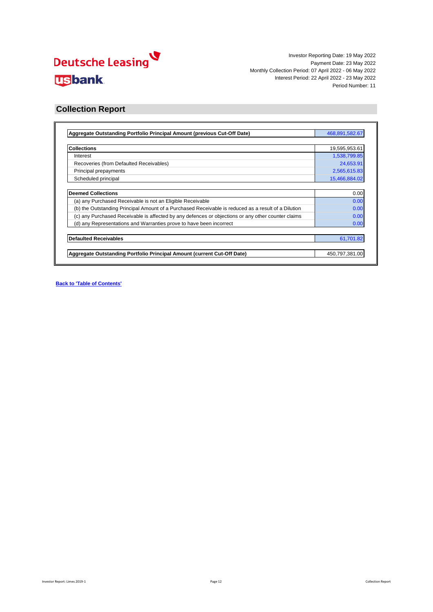

#### **Collection Report**

| Aggregate Outstanding Portfolio Principal Amount (previous Cut-Off Date)                            | 468,891,582.67 |
|-----------------------------------------------------------------------------------------------------|----------------|
|                                                                                                     |                |
| <b>Collections</b>                                                                                  | 19,595,953.61  |
| Interest                                                                                            | 1,538,799.85   |
| Recoveries (from Defaulted Receivables)                                                             | 24,653.91      |
| Principal prepayments                                                                               | 2,565,615.83   |
| Scheduled principal                                                                                 | 15,466,884.02  |
| <b>Deemed Collections</b>                                                                           |                |
| (a) any Purchased Receivable is not an Eligible Receivable                                          | 0.00<br>0.00   |
| (b) the Outstanding Principal Amount of a Purchased Receivable is reduced as a result of a Dilution | 0.00           |
| (c) any Purchased Receivable is affected by any defences or objections or any other counter claims  | 0.00           |
| (d) any Representations and Warranties prove to have been incorrect                                 | 0.00           |
|                                                                                                     |                |
| <b>Defaulted Receivables</b>                                                                        | 61,701.82      |
| Aggregate Outstanding Portfolio Principal Amount (current Cut-Off Date)                             | 450,797,381.00 |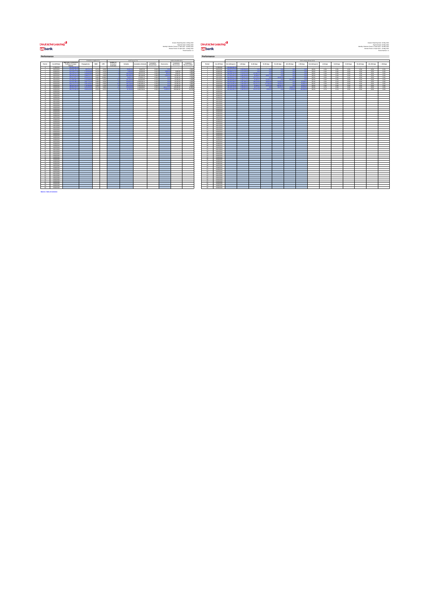## <mark>V</mark><br>بالاتارى<br>Lusbank

**Excelent Examples and the contract of the Casing Contract and the Contract of the Contract of the Contract of the Contract of the Contract of the Contract of the Contract of the Contract of the Contract of the Contract o** 

 $\overline{\phantom{0}}$ 

|                                     |                                   |                                                        | <b>PKEPATMENIX</b>     |               |                          |                                     | <b>DEFAULIS</b>        |                            |                                   |                        | <b>KECOVEKIES</b>        |                            |               |                          |                            |                         |                             |                   |             |                | <b>DETING DE VC IF:</b> |                 |
|-------------------------------------|-----------------------------------|--------------------------------------------------------|------------------------|---------------|--------------------------|-------------------------------------|------------------------|----------------------------|-----------------------------------|------------------------|--------------------------|----------------------------|---------------|--------------------------|----------------------------|-------------------------|-----------------------------|-------------------|-------------|----------------|-------------------------|-----------------|
| Period                              | Cut-Off Date                      | Appregate Outstanding<br>Portfolio Principal<br>Amount | Prepayments            | SMM           | CPR                      | Number of<br>Defaulted<br>Poneranna | <b>Defaults</b>        | <b>Cumulative Defaults</b> | Cumulative<br><b>Default Rate</b> | Recoveries             | Cumulative<br>Recoveries | Cumulative<br>RecoveryRate | Period        | Cut-Off Date             | Not delinquent             | $1-30$ days             | 3140 days                   | 61-90 days        | 91-120 days | 121-150 days   | $>150$ days             | Not della       |
| $\sim$                              | 07/06/2021                        | 649-999-999                                            |                        |               | $\overline{\phantom{a}}$ |                                     |                        |                            |                                   |                        |                          |                            |               | 07062021                 | <b>CAS DOG DOG</b>         |                         |                             |                   |             |                |                         |                 |
| 14                                  | news/sec-                         | <b>DOG CASE DOG</b>                                    | 0002242                | 0.0%          | opp                      |                                     | 10.000                 | 55,697.00                  | Add                               |                        |                          | 0.009                      |               | nanzione+                | can except                 | <b>A CAN CALL</b>       |                             |                   |             |                |                         | $-99.6$         |
| $\rightarrow$                       | 06/08/2021                        | 616.158.377.56                                         | 123252409              | 0.27%         | 3.23%                    |                                     | 9.983.90               | 66,093.39                  | opthi                             | 3,569.58               | 3,869.58                 | 5,80%                      | $\mathbf{r}$  | outpages1                | 613.886.217.2              | 2.272.160.              | 0.01                        | 1,840             | <b>COM</b>  | 0 <sup>2</sup> |                         | 99.6            |
| $\sim$<br>$\overline{a}$            | nemannos<br>06/10/2021            | <b>CALINA CIE N</b><br><b>CAN CON CANN</b>             | 14091054<br>0.000.0203 | 0.99<br>0.405 | 3.157<br>4,691           |                                     | 164,606,00<br>on opp a | 100310-00<br>491,006.38    | AMK<br>open                       | 669.96<br><b>CSAYS</b> | 4.822.87<br>10,565.42    | 2,09%<br>2.07%             | $\sim$        | 0909/2021<br>0910/2021   | 600 400 499<br>COT CAN VOX | $-0.65664$<br>0.064.959 | 1070007<br><b>Advised a</b> | - 66<br>49.000.0  | <b>ALL</b>  | $\sim$         |                         | $-99.6$<br>99.9 |
|                                     | 06/11/2021                        | \$59.411.627.75                                        | <b>SSMS225</b>         | o.ses         | 10,893                   |                                     | 29.924.74              | 670,631.12                 | com                               |                        | 10.165.43                | 1,78%                      |               | 09/11/2021               | 556,454,611.2              | 2.790.611.              | 127,179.14                  | ×                 | 920626      |                |                         | 99.5            |
| $\sim$                              | 06/12/2021                        | <b>CAY GRO GLA 20</b>                                  | 2.104.936.46           | 0.38%         | 4,42%                    |                                     | 242,795.90             | 81362255                   | 0.12%                             | <b>College</b>         | 10,165.43                | 1.29%                      | $\sim$        | 09/12/2021               | Cho neo and a              | $-0.00669779$           | <b>CASSO KA</b>             | <b>CY AAE 3A</b>  | <b>CAMP</b> | 10144.00       |                         | $-99.5$         |
| $\mathcal{L}$                       | 06012022                          | \$23,402,486.53                                        | 2.60721120             | 0.48%         | 5,62%                    |                                     | 244,923.19             | 1,058,545.14               | 0.50%                             | 0.01                   | 10,165.43                | 0.96%                      | $\mathcal{L}$ | 06012022                 | <b>Can san sho</b>         | 2.587.990.3             | <b>Ship Kan K</b>           | <b>CA SO PAGE</b> | 5109335     | 0.01           | 37,049.21               | $-99.4$         |
|                                     | 06/02/2022                        | 08.04.073                                              | 1,501,203              | 0.999         | 2200                     |                                     | 03.743                 | 1,492,295.14               | 0.22                              |                        | 10,565.42                | 0.68%                      |               | 06/02/2022               | 503,144,009                | 2,645,926               | 142707.7                    | 177,555.4         |             |                |                         | $\overline{u}$  |
| $\bullet$                           | 06/03/2022                        | 498 929 378 29                                         | 1,794,993              | A 90%         | 4.95%                    |                                     | 139,475.4              | 1.629.761.54               | 0.25%                             |                        | 10,165.43                | 0.62%                      | $\bullet$     | 06032022                 | 487.102.591.9              | 1.581.671.07            |                             | 0.420             | 100114-014  |                | 34,947.40               | 99.6            |
| 10                                  | 06/04/2022                        | 498.891.592.67                                         | 4.254.623.3            | 0.67%         | says.                    |                                     | 519,229.00             | 2,148,090.62               | $0.32\%$                          | 268.127.0              | 27829245                 | 12,90%                     | 10            | 06/04/2022               | 465.435.119.0              | 3.239.952.48            | 48711.98                    | $-60$             | 29.572.37   | 78,552.1       | 90.673.6                | 99.2            |
| $\ddot{\phantom{1}}$                | needness                          | 455 267 964 00                                         | 9.666668               | 0.60          | 6.375                    |                                     | 66,766.0               | 2,209,792.44               | $A$ Seb                           | <b>Address</b>         | 0234636                  | 13,71%                     | $+1$          | 06/05/2022               | 447 665 666 1              | 0.0456346               | 9916310                     | 4,097             |             | <b>COLOR</b>   | 109.95                  | $^{462}$        |
| $\overline{10}$                     | 06/06/2022                        |                                                        |                        |               |                          |                                     |                        |                            |                                   |                        |                          |                            | $+9$          | 0606/2022                |                            |                         |                             |                   |             |                |                         |                 |
| $12 -$                              | 06/07/2022                        |                                                        |                        |               |                          |                                     |                        |                            |                                   |                        |                          |                            | 13            | 06/07/2022               |                            |                         |                             |                   |             |                |                         |                 |
| $^{44}$<br>$\overline{\mathcal{L}}$ | newwww<br>numeroso                |                                                        |                        |               |                          |                                     |                        |                            |                                   |                        |                          |                            | 14<br>$^{16}$ | nemerano<br>nananno      |                            |                         |                             |                   |             |                |                         |                 |
| 16                                  | 06/10/2022                        |                                                        |                        |               |                          |                                     |                        |                            |                                   |                        |                          |                            | 16            | 0910/2022                |                            |                         |                             |                   |             |                |                         |                 |
| 17                                  | 06/11/2022                        |                                                        |                        |               |                          |                                     |                        |                            |                                   |                        |                          |                            | 17            | 09110022                 |                            |                         |                             |                   |             |                |                         |                 |
| 18                                  | 06/12/2022                        |                                                        |                        |               |                          |                                     |                        |                            |                                   |                        |                          |                            | 18            | 09120022                 |                            |                         |                             |                   |             |                |                         |                 |
| $\overline{16}$                     | newsman.                          |                                                        |                        |               |                          |                                     |                        |                            |                                   |                        |                          |                            | 191           | 06010023                 |                            |                         |                             |                   |             |                |                         |                 |
| $\overline{\mathbf{z}}$             | nemoranos                         |                                                        |                        |               |                          |                                     |                        |                            |                                   |                        |                          |                            |               | 09020023                 |                            |                         |                             |                   |             |                |                         |                 |
| 21                                  | 06/03/2023                        |                                                        |                        |               |                          |                                     |                        |                            |                                   |                        |                          |                            | 21            | outpages                 |                            |                         |                             |                   |             |                |                         |                 |
| $-99-$                              | newwww                            |                                                        |                        |               |                          |                                     |                        |                            |                                   |                        |                          |                            | <b>Ab</b>     | determine                |                            |                         |                             |                   |             |                |                         |                 |
| 22                                  | 06/05/2023                        |                                                        |                        |               |                          |                                     |                        |                            |                                   |                        |                          |                            | 22            | 06/05/2023               |                            |                         |                             |                   |             |                |                         |                 |
| 24<br>$-96$                         | 06/06/2023                        |                                                        |                        |               |                          |                                     |                        |                            |                                   |                        |                          |                            | 24<br>$-96$   | 0906/2023                |                            |                         |                             |                   |             |                |                         |                 |
| $^{26}$                             | 06/07/2023<br>numeros             |                                                        |                        |               |                          |                                     |                        |                            |                                   |                        |                          |                            | $\sim$        | 09/07/2023<br>constructs |                            |                         |                             |                   |             |                |                         |                 |
| $\overline{x}$                      | 06/09/2023                        |                                                        |                        |               |                          |                                     |                        |                            |                                   |                        |                          |                            | 27            | outpagega                |                            |                         |                             |                   |             |                |                         |                 |
| 28                                  | 06/10/2023                        |                                                        |                        |               |                          |                                     |                        |                            |                                   |                        |                          |                            | $^{26}$       | 0910/2023                |                            |                         |                             |                   |             |                |                         |                 |
| 29                                  | 06/11/2023                        |                                                        |                        |               |                          |                                     |                        |                            |                                   |                        |                          |                            | $29 -$        | 09110023                 |                            |                         |                             |                   |             |                |                         |                 |
| 20                                  | 06/12/2023                        |                                                        |                        |               |                          |                                     |                        |                            |                                   |                        |                          |                            | $-96$         | 09120023                 |                            |                         |                             |                   |             |                |                         |                 |
| $\overline{M}$                      | 06/01/2024                        |                                                        |                        |               |                          |                                     |                        |                            |                                   |                        |                          |                            | $\sim$        | 06/01/2024               |                            |                         |                             |                   |             |                |                         |                 |
| 22                                  | 06/02/2024                        |                                                        |                        |               |                          |                                     |                        |                            |                                   |                        |                          |                            | $22 -$        | 09022024                 |                            |                         |                             |                   |             |                |                         |                 |
| 44<br>$\overline{u}$                | <b>GEOGRAPH</b><br><b>GENERAL</b> |                                                        |                        |               |                          |                                     |                        |                            |                                   |                        |                          |                            | $^{26}$<br>A4 | construction             |                            |                         |                             |                   |             |                |                         |                 |
| 26                                  | 06/05/2024                        |                                                        |                        |               |                          |                                     |                        |                            |                                   |                        |                          |                            | 26            | 09042024<br>0905/2024    |                            |                         |                             |                   |             |                |                         |                 |
| $^{26}$                             | 06/06/2024                        |                                                        |                        |               |                          |                                     |                        |                            |                                   |                        |                          |                            | $^{26}$       | 0906/2024                |                            |                         |                             |                   |             |                |                         |                 |
| 27                                  | 06/07/2024                        |                                                        |                        |               |                          |                                     |                        |                            |                                   |                        |                          |                            | 27            | 09/07/2024               |                            |                         |                             |                   |             |                |                         |                 |
| 28                                  | 06/08/2024                        |                                                        |                        |               |                          |                                     |                        |                            |                                   |                        |                          |                            | 28            | 09092024                 |                            |                         |                             |                   |             |                |                         |                 |
| $^{46}$                             | 06/09/2024                        |                                                        |                        |               |                          |                                     |                        |                            |                                   |                        |                          |                            | $\sim$        | 09092024                 |                            |                         |                             |                   |             |                |                         |                 |
| 40                                  | 06/10/2024                        |                                                        |                        |               |                          |                                     |                        |                            |                                   |                        |                          |                            | $40 -$        | 0910/2024                |                            |                         |                             |                   |             |                |                         |                 |
| $\mathbf{A}$                        | GEN 1/2004                        |                                                        |                        |               |                          |                                     |                        |                            |                                   |                        |                          |                            | 14            | 09112024                 |                            |                         |                             |                   |             |                |                         |                 |
| $\mathbf{a}$                        | 06/12/2024                        |                                                        |                        |               |                          |                                     |                        |                            |                                   |                        |                          |                            | $\mathbf{a}$  | 09120024                 |                            |                         |                             |                   |             |                |                         |                 |
| $\alpha$                            | 06012025                          |                                                        |                        |               |                          |                                     |                        |                            |                                   |                        |                          |                            | $-42$         | owongoos                 |                            |                         |                             |                   |             |                |                         |                 |
| 44<br>$\mathcal{M}$                 | oseageas<br>newwweek              |                                                        |                        |               |                          |                                     |                        |                            |                                   |                        |                          |                            | 44<br>14      | oucogoos<br>companies    |                            |                         |                             |                   |             |                |                         |                 |
| 46                                  | 06/04/2026                        |                                                        |                        |               |                          |                                     |                        |                            |                                   |                        |                          |                            | 46            | 06/04/2025               |                            |                         |                             |                   |             |                |                         |                 |
| $\sigma$                            | okesgegs                          |                                                        |                        |               |                          |                                     |                        |                            |                                   |                        |                          |                            | $\sigma$      | outdoords                |                            |                         |                             |                   |             |                |                         |                 |
| $\bullet$                           | okeagos.                          |                                                        |                        |               |                          |                                     |                        |                            |                                   |                        |                          |                            | $\bullet$     | outputoos                |                            |                         |                             |                   |             |                |                         |                 |
| 49                                  | newprace.                         |                                                        |                        |               |                          |                                     |                        |                            |                                   |                        |                          |                            | $-49$         | owchloods                |                            |                         |                             |                   |             |                |                         |                 |
| $\alpha$                            | 06/08/2026                        |                                                        |                        |               |                          |                                     |                        |                            |                                   |                        |                          |                            | <b>SO</b>     | outoarpool               |                            |                         |                             |                   |             |                |                         |                 |
| 51                                  | oseages.                          |                                                        |                        |               |                          |                                     |                        |                            |                                   |                        |                          |                            | 61            | outpageos                |                            |                         |                             |                   |             |                |                         |                 |
| $\overline{w}$                      | <b>GENERATOR</b>                  |                                                        |                        |               |                          |                                     |                        |                            |                                   |                        |                          |                            | 69            | 09/10/2025               |                            |                         |                             |                   |             |                |                         |                 |
| $^{65}$                             | 06/11/2025                        |                                                        |                        |               |                          |                                     |                        |                            |                                   |                        |                          |                            | $^{65}$       | 09110025                 |                            |                         |                             |                   |             |                |                         |                 |
| 54                                  | 06/12/2025                        |                                                        |                        |               |                          |                                     |                        |                            |                                   |                        |                          |                            | 54            | 09120025                 |                            |                         |                             |                   |             |                |                         |                 |
| 56                                  | 06/01/2026                        |                                                        |                        |               |                          |                                     |                        |                            |                                   |                        |                          |                            | 56            | 09012029                 |                            |                         |                             |                   |             |                |                         |                 |
| 56<br>57                            | osepppos<br>newsweep              |                                                        |                        |               |                          |                                     |                        |                            |                                   |                        |                          |                            | 56<br>ST.     | outgages<br>ogoagopa     |                            |                         |                             |                   |             |                |                         |                 |
| se                                  | 06/04/2026                        |                                                        |                        |               |                          |                                     |                        |                            |                                   |                        |                          |                            | se            | 06/04/2026               |                            |                         |                             |                   |             |                |                         |                 |
| 59                                  | osesses                           |                                                        |                        |               |                          |                                     |                        |                            |                                   |                        |                          |                            | 59            | 0905/2029                |                            |                         |                             |                   |             |                |                         |                 |
| $-60$                               | 06/06/2026                        |                                                        |                        |               |                          |                                     |                        |                            |                                   |                        |                          |                            | 40            | 0906/2029                |                            |                         |                             |                   |             |                |                         |                 |
|                                     |                                   |                                                        |                        |               |                          |                                     |                        |                            |                                   |                        |                          |                            |               |                          |                            |                         |                             |                   |             |                |                         |                 |
| Back to 'Table of Contents'         |                                   |                                                        |                        |               |                          |                                     |                        |                            |                                   |                        |                          |                            |               |                          |                            |                         |                             |                   |             |                |                         |                 |
|                                     |                                   |                                                        |                        |               |                          |                                     |                        |                            |                                   |                        |                          |                            |               |                          |                            |                         |                             |                   |             |                |                         |                 |

| riod | Cut-Off Date             | Portfolio Principal      | Prepayments     | <b>SMM</b> | CPR          | Defaulted | <b>Defaults</b> | <b>Cumulative Defaults</b> | Cursulative<br><b>Detault Rate</b> | Recoveries  | Cumulative<br>Recoveries | Curactative<br>RecoveryRate | Period                            | Cut-Off Date            | Not delinquent      | 1-30 days         | 3140 days        | 61-90 days      | 91-120 days     | 121-150 days | >150 days       | Not delinquent | 1-30 days | 31-60 days | 61-93 days | 95-120 days       | 121-150 days | $>150$ days |
|------|--------------------------|--------------------------|-----------------|------------|--------------|-----------|-----------------|----------------------------|------------------------------------|-------------|--------------------------|-----------------------------|-----------------------------------|-------------------------|---------------------|-------------------|------------------|-----------------|-----------------|--------------|-----------------|----------------|-----------|------------|------------|-------------------|--------------|-------------|
|      | <b>ATENADES</b>          | 449-948-94               |                 |            |              |           |                 |                            |                                    |             |                          |                             |                                   | ennemen                 | 649 999 999         |                   |                  |                 |                 |              |                 |                |           |            |            |                   |              |             |
|      | numbers.                 | 633,503,758,76           | 0092243         |            | 0.02% 0.83%  |           | 56,697.0        | 56,697.09                  | Add N                              |             |                          | 0.0096                      | $-4$                              | nanzione -              | 00000000            | <b>A CAN CALL</b> |                  |                 |                 |              |                 | 49.0%          | CLANK .   | O.ONG      | 0.0%       | 4,000             | AM6          | 0.0%        |
|      | 06/08/2021               | 616.158.377.56           | 12325241        |            | 0.27% 3.23%  |           | 9.983.90        | 66,093.29                  | opris 1                            | 100000-000  | 3,869.58                 | 5,96%                       | $\mathbf{z}$                      | 09/08/2021              | 613.899.217.20      | 2.272.160.36      |                  |                 |                 | 0.001        | 0.00            | 100,676        | 0.4%      | $0.0\%$    | 0.0%       | <b>CONTRACTOR</b> | 0.0%         | $0.0\%$     |
|      | nemannos                 | <b>608 365 016 3</b>     | $-1.006, 0.06$  | A 92%      | 0.453        |           | <b>GARGE</b>    | 8233732.28                 | didels.                            |             | 4.822.87                 | 2,09%                       | 14                                | nononne                 | <b>COL ADD 17</b>   | $-0.00000000$     | <b>ARTAIN</b>    |                 |                 |              |                 | 49.0%          | 0.4%      | A date     | 0.096      | A.M               | AM6          | 0.0%        |
|      | 06/10/2021               | \$80,553,542.29          | 2.300.5727      |            | 0.42% 4.69%  |           | 200.299.10      | 491,006.38                 | <b>CORN</b>                        | <b>CAST</b> | 10.165.43                | 2.07%                       | $\overline{1}$                    | 06/10/2021              | 671,540.221         | 10040000          | <b>AB AN ARE</b> | <b>CAR PART</b> |                 |              |                 | 99.9%          | 0.9%      | 0.0%       | $0.0\%$    | 0.0%              | 0.0%         | 0.0%        |
|      | <b>GEN KARDS</b>         | 0081414100700            | <b>COLON</b>    |            | 0.98% visits |           | 29.994.74       | 62049117                   | AM6                                |             | 1010543                  | 4.79%                       | $\epsilon$                        | AGA KINGS               | <b>COLUMN ON 19</b> | <b>A MARGAZI</b>  | 100212-014       |                 | -----           |              | 14, 44          | 49.5%          | O ON      | O.OSC      | 0.0%       | AMC               | AM.          | CODE.       |
|      | newscopy                 | <b>Carl Gala Gala 36</b> | <b>ON MORAL</b> |            | 0.99% 4.47%  |           | 24279.80        | <b>ANTIQUOISE</b>          | A VW.                              |             | 1010543                  | 1,00%                       | $\sim$                            | developes.              | Chairman and        | 0.064.477.00      | 05/00/16         | <b>CA AAG 3</b> |                 | 10144.03     |                 | 99.6%          | 6 Blue    | 0.0%       | 00%        | $\overline{AB}$   | AM.          | 0.0%        |
|      | newsman.                 | \$23,402,486.53          | $-9.0077944$    |            | 0.48% 5.63%  |           | 244,922.1       | 10090414                   | A NAC                              |             | 1010543                  | 0.96%                       | $\mathcal{L}$                     | defenders.              | \$20,930,939.1      | 2.587.990.9       | 206,570          | <b>CA SVY</b>   | <b>CENTRE</b>   |              | 127 (MAG OH)    | \$9.4%         | O SHL     | COMM.      | 0.0%       | 0.0%              | 0.0%         | 0.0%        |
|      | ncentrate                | 506-574-472.1            | 1,001.00        | A 99%      |              |           | anno tran-      | 1.490.000.14               | A 99%                              |             | 1010543                  | O GROUP                     | $\sim$                            | <b>Mathia family</b>    | <b>CRO KAKIN</b>    | <b>O GAS GOLD</b> | 149,992          | <b>STY CO</b>   |                 |              |                 | \$6.6%         | A Shi,    | O.OSC      | 0.0%       | A.M.              | AM6          | 0.0%        |
|      | numeroso                 | 408 979 978 96           | 1,204,000       |            | 0.95% 4.5%   |           | 100,435,40      | 100976154                  | 0.25%                              |             | 10.165.43                | 0.62%                       | $\sim$                            | construction            | 487,400,6941        | $+64 + 67 + 62$   | 100900-02        | <b>AS ANY</b>   | <b>CARDINAL</b> |              | 34,947.49       | 49.6%          | 0.9%      | O.OSC      | 00%        | A-MK              | AM6          | 0.0%        |
|      | newsman.                 | 498.891.592.67           | 4.254.633.3     |            | 0.87% 9.96%  |           | 519,329.08      | 1214010041                 | 0.32%                              | 1008117-001 | 170100-05                | 12,96%                      | 10                                | 09/04/2022              | 465,435,119.06      | 3.239.952.48      | 48,711.98        |                 | 09/12/12        | 20,000 KB    | <b>ANADYLIN</b> | 49.9%          | 0.7%      | O.OSC      | 0.0%       | 0.0%              | 0.0%         | 0.0%        |
|      | 06/05/2022               | 455 267 964 76           | <b>ARRELLI</b>  | 0.55%      | 10,000       |           | 65,705.8        | 2,209,792.44               | 0.36%                              |             | 30214636                 | 49.74%                      | $-44$                             | nencrinos               | 447 649 449         | A GAS CALL        | 99605            |                 |                 | 17,600       | <b>CAN ART</b>  | 99.2%          | 0.7%      | A 1%       | 0.0%       | 4.06              | AM6          | a.oni       |
|      | 06060222                 |                          |                 |            |              |           |                 |                            |                                    |             |                          |                             | <b>ALC:</b>                       | 0606/2022               |                     |                   |                  |                 |                 |              |                 |                |           |            |            |                   |              |             |
|      | 06/07/2022               |                          |                 |            |              |           |                 |                            |                                    |             |                          |                             | $12-$                             | 06/07/2022              |                     |                   |                  |                 |                 |              |                 |                |           |            |            |                   |              |             |
|      | nemerance.               |                          |                 |            |              |           |                 |                            |                                    |             |                          |                             | 14.<br>$\sim$                     | nonemos.                |                     |                   |                  |                 |                 |              |                 |                |           |            |            |                   |              |             |
|      | 06/09/2022<br>06/10/2022 |                          |                 |            |              |           |                 |                            |                                    |             |                          |                             | 19.                               | 06/09/2022<br>0910/2022 |                     |                   |                  |                 |                 |              |                 |                |           |            |            |                   |              |             |
|      | news/and-                |                          |                 |            |              |           |                 |                            |                                    |             |                          |                             | $+7$                              | directions.             |                     |                   |                  |                 |                 |              |                 |                |           |            |            |                   |              |             |
|      | 06/12/2022               |                          |                 |            |              |           |                 |                            |                                    |             |                          |                             | 18                                | 09120022                |                     |                   |                  |                 |                 |              |                 |                |           |            |            |                   |              |             |
|      | nemeranos                |                          |                 |            |              |           |                 |                            |                                    |             |                          |                             | 1994                              | nansnos.                |                     |                   |                  |                 |                 |              |                 |                |           |            |            |                   |              |             |
|      | numeros -                |                          |                 |            |              |           |                 |                            |                                    |             |                          |                             | <b>Abba</b>                       | nonnenn                 |                     |                   |                  |                 |                 |              |                 |                |           |            |            |                   |              |             |
|      | newwww.                  |                          |                 |            |              |           |                 |                            |                                    |             |                          |                             | $-21$                             | nonvenire.              |                     |                   |                  |                 |                 |              |                 |                |           |            |            |                   |              |             |
|      | newsman                  |                          |                 |            |              |           |                 |                            |                                    |             |                          |                             | $-99 -$                           | nonvennos               |                     |                   |                  |                 |                 |              |                 |                |           |            |            |                   |              |             |
|      | <b>NAVADI</b>            |                          |                 |            |              |           |                 |                            |                                    |             |                          |                             | diff.                             | necessity               |                     |                   |                  |                 |                 |              |                 |                |           |            |            |                   |              |             |
|      | 06/06/2023               |                          |                 |            |              |           |                 |                            |                                    |             |                          |                             | 24                                | 09060023                |                     |                   |                  |                 |                 |              |                 |                |           |            |            |                   |              |             |
|      | nemotion.                |                          |                 |            |              |           |                 |                            |                                    |             |                          |                             | $\overline{\mathscr{L}}$          | nanomnia                |                     |                   |                  |                 |                 |              |                 |                |           |            |            |                   |              |             |
|      | 06/08/2023               |                          |                 |            |              |           |                 |                            |                                    |             |                          |                             | <b>ALC:</b>                       | outpage23               |                     |                   |                  |                 |                 |              |                 |                |           |            |            |                   |              |             |
|      | 06/09/2023               |                          |                 |            |              |           |                 |                            |                                    |             |                          |                             | 27                                | outpages                |                     |                   |                  |                 |                 |              |                 |                |           |            |            |                   |              |             |
|      | nonventi                 |                          |                 |            |              |           |                 |                            |                                    |             |                          |                             | $-96$                             | destroyed.              |                     |                   |                  |                 |                 |              |                 |                |           |            |            |                   |              |             |
|      | 06/11/2023               |                          |                 |            |              |           |                 |                            |                                    |             |                          |                             | $29 -$                            | 09110023                |                     |                   |                  |                 |                 |              |                 |                |           |            |            |                   |              |             |
|      | 06/12/2023               |                          |                 |            |              |           |                 |                            |                                    |             |                          |                             | $-20$                             | 09120023                |                     |                   |                  |                 |                 |              |                 |                |           |            |            |                   |              |             |
|      | <b>GERAVIOLE</b>         |                          |                 |            |              |           |                 |                            |                                    |             |                          |                             | $\overline{a}$                    | <b>GRANDOM</b>          |                     |                   |                  |                 |                 |              |                 |                |           |            |            |                   |              |             |
|      | 06/02/2024               |                          |                 |            |              |           |                 |                            |                                    |             |                          |                             | $-22$                             | 09022024                |                     |                   |                  |                 |                 |              |                 |                |           |            |            |                   |              |             |
|      | nemannos.                |                          |                 |            |              |           |                 |                            |                                    |             |                          |                             | $-99 -$                           | constructs              |                     |                   |                  |                 |                 |              |                 |                |           |            |            |                   |              |             |
|      | <b>GENERAL</b>           |                          |                 |            |              |           |                 |                            |                                    |             |                          |                             | Chair                             | 09042024                |                     |                   |                  |                 |                 |              |                 |                |           |            |            |                   |              |             |
|      | 06/05/2024<br>newproces. |                          |                 |            |              |           |                 |                            |                                    |             |                          |                             | 26<br>140.00                      | 0905/2024<br>constructs |                     |                   |                  |                 |                 |              |                 |                |           |            |            |                   |              |             |
|      | 06/07/2024               |                          |                 |            |              |           |                 |                            |                                    |             |                          |                             | ALC: U                            | 09/07/2024              |                     |                   |                  |                 |                 |              |                 |                |           |            |            |                   |              |             |
|      | 06/08/2024               |                          |                 |            |              |           |                 |                            |                                    |             |                          |                             | 28                                | outpageon               |                     |                   |                  |                 |                 |              |                 |                |           |            |            |                   |              |             |
|      | <b>GEOGRAPH</b>          |                          |                 |            |              |           |                 |                            |                                    |             |                          |                             | 1994                              | nonprinte               |                     |                   |                  |                 |                 |              |                 |                |           |            |            |                   |              |             |
|      | 06/10/2024               |                          |                 |            |              |           |                 |                            |                                    |             |                          |                             | $-60$                             | 0910/2024               |                     |                   |                  |                 |                 |              |                 |                |           |            |            |                   |              |             |
|      | 06/11/2024               |                          |                 |            |              |           |                 |                            |                                    |             |                          |                             | $-41$                             | 09110024                |                     |                   |                  |                 |                 |              |                 |                |           |            |            |                   |              |             |
|      | 06/12/2024               |                          |                 |            |              |           |                 |                            |                                    |             |                          |                             | <b>ALC</b>                        | 09120024                |                     |                   |                  |                 |                 |              |                 |                |           |            |            |                   |              |             |
|      | 06/01/2026               |                          |                 |            |              |           |                 |                            |                                    |             |                          |                             | $-42$                             | outnoos                 |                     |                   |                  |                 |                 |              |                 |                |           |            |            |                   |              |             |
|      | newports.                |                          |                 |            |              |           |                 |                            |                                    |             |                          |                             | A                                 | nonnenne.               |                     |                   |                  |                 |                 |              |                 |                |           |            |            |                   |              |             |
|      | 06/03/2025               |                          |                 |            |              |           |                 |                            |                                    |             |                          |                             | $\sim$                            | 09/03/2025              |                     |                   |                  |                 |                 |              |                 |                |           |            |            |                   |              |             |
|      | 06/04/2026               |                          |                 |            |              |           |                 |                            |                                    |             |                          |                             | $-46$                             | 06/04/2025              |                     |                   |                  |                 |                 |              |                 |                |           |            |            |                   |              |             |
|      | need to be               |                          |                 |            |              |           |                 |                            |                                    |             |                          |                             | $\overline{AB}$                   | newcranes.              |                     |                   |                  |                 |                 |              |                 |                |           |            |            |                   |              |             |
|      | 06/06/2026               |                          |                 |            |              |           |                 |                            |                                    |             |                          |                             | $\sim$                            | outos/2025              |                     |                   |                  |                 |                 |              |                 |                |           |            |            |                   |              |             |
|      | newprints.               |                          |                 |            |              |           |                 |                            |                                    |             |                          |                             | 149.11                            | ouchgoos                |                     |                   |                  |                 |                 |              |                 |                |           |            |            |                   |              |             |
|      | <b>NANOCE</b>            |                          |                 |            |              |           |                 |                            |                                    |             |                          |                             | <b>SO</b>                         | nonemne.                |                     |                   |                  |                 |                 |              |                 |                |           |            |            |                   |              |             |
|      | 06/09/2026               |                          |                 |            |              |           |                 |                            |                                    |             |                          |                             | 51                                | outowatas               |                     |                   |                  |                 |                 |              |                 |                |           |            |            |                   |              |             |
|      | 06/10/2025               |                          |                 |            |              |           |                 |                            |                                    |             |                          |                             | $-69$                             | 0910/2025               |                     |                   |                  |                 |                 |              |                 |                |           |            |            |                   |              |             |
|      | <b>GEN KAROE</b>         |                          |                 |            |              |           |                 |                            |                                    |             |                          |                             | $^{65}$                           | ARTS/MAG                |                     |                   |                  |                 |                 |              |                 |                |           |            |            |                   |              |             |
|      | 06/12/2025               |                          |                 |            |              |           |                 |                            |                                    |             |                          |                             | 54                                | 09120025                |                     |                   |                  |                 |                 |              |                 |                |           |            |            |                   |              |             |
|      | 06/01/2026               |                          |                 |            |              |           |                 |                            |                                    |             |                          |                             | $-66$<br>$\overline{\phantom{a}}$ | 09012029                |                     |                   |                  |                 |                 |              |                 |                |           |            |            |                   |              |             |
|      | 06/02/2026<br>06/03/2026 |                          |                 |            |              |           |                 |                            |                                    |             |                          |                             | 57                                | 09022029<br>oscascos    |                     |                   |                  |                 |                 |              |                 |                |           |            |            |                   |              |             |
|      | <b>GERMANIA</b>          |                          |                 |            |              |           |                 |                            |                                    |             |                          |                             | <b>CO</b>                         | nonemna                 |                     |                   |                  |                 |                 |              |                 |                |           |            |            |                   |              |             |
|      | news/week                |                          |                 |            |              |           |                 |                            |                                    |             |                          |                             | 59                                | noncrema                |                     |                   |                  |                 |                 |              |                 |                |           |            |            |                   |              |             |
|      | 06/06/2026               |                          |                 |            |              |           |                 |                            |                                    |             |                          |                             | $\omega$                          | nenemne                 |                     |                   |                  |                 |                 |              |                 |                |           |            |            |                   |              |             |
|      |                          |                          |                 |            |              |           |                 |                            |                                    |             |                          |                             |                                   |                         |                     |                   |                  |                 |                 |              |                 |                |           |            |            |                   |              |             |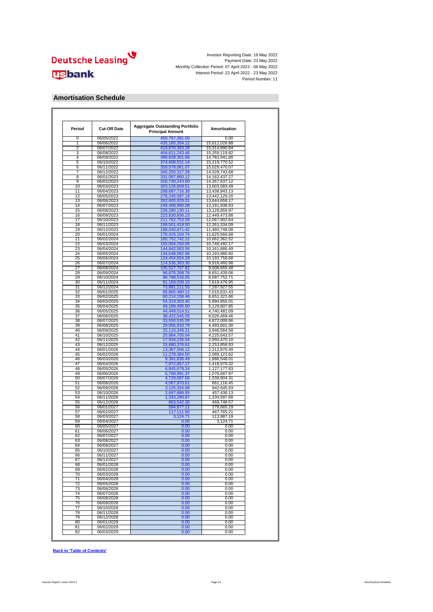

#### **Amortisation Schedule**

| Period   | <b>Cut-Off Date</b>      | <b>Aggregate Outstanding Portfolio</b><br><b>Principal Amount</b> | Amortisation                   |
|----------|--------------------------|-------------------------------------------------------------------|--------------------------------|
| 0        | 06/05/2022               | 450,797,381.00                                                    | 0.00                           |
| 1        | 06/06/2022               | 435, 185, 354. 12                                                 | 15,612,026.88                  |
| 2<br>3   | 06/07/2022               | 419,870,363.28                                                    | 15,314,990.84<br>15,259,119.82 |
| 4        | 06/08/2022<br>06/09/2022 | 404,611,243.46<br>389,828,301.66                                  | 14,782,941.80                  |
| 5        | 06/10/2022               | 374,608,531.14                                                    | 15,219,770.52                  |
| 6        | 06/11/2022               | 359,579,061.07                                                    | 15,029,470.07                  |
| 7        | 06/12/2022               | 345,250,317.39                                                    | 14,328,743.68                  |
| 8        | 06/01/2023               | 331,087,880.12                                                    | 14,162,437.27                  |
| 9        | 06/02/2023               | 316,730,243.00                                                    | 14,357,637.12                  |
| 10       | 06/03/2023               | 303,126,659.51                                                    | 13,603,583.49                  |
| 11<br>12 | 06/04/2023<br>06/05/2023 | 289,687,716.38<br>276,245,587.18                                  | 13,438,943.13<br>13,442,129.20 |
| 13       | 06/06/2023               | 262,600,929.01                                                    | 13,644,658.17                  |
| 14       | 06/07/2023               | 249,408,990.08                                                    | 13,191,938.93                  |
| 15       | 06/08/2023               | 236,280,130.11                                                    | 13,128,859.97                  |
| 16       | 06/09/2023               | 223,830,656.23                                                    | 12,449,473.88                  |
| 17       | 06/10/2023               | 211,762,753.59                                                    | 12,067,902.64                  |
| 18       | 06/11/2023               | 199,501,419.50                                                    | 12,261,334.09                  |
| 19<br>20 | 06/12/2023               | 188,040,671.42                                                    | 11,460,748.08                  |
| 21       | 06/01/2024<br>06/02/2024 | 176,415,104.74<br>165,752,742.22                                  | 11,625,566.68<br>10,662,362.52 |
| 22       | 06/03/2024               | 155,004,250.05                                                    | 10,748,492.17                  |
| 23       | 06/04/2024               | 144,842,563.56                                                    | 10,161,686.49                  |
| 24       | 06/05/2024               | 134,648,582.96                                                    | 10,193,980.60                  |
| 25       | 06/06/2024               | 124,454,824.28                                                    | 10,193,758.68                  |
| 26       | 06/07/2024               | 114,536,363.30                                                    | 9,918,460.98                   |
| 27<br>28 | 06/08/2024<br>06/09/2024 | 105,527,707.82                                                    | 9,008,655.48<br>8,651,439.06   |
| 29       | 06/10/2024               | 96,876,268.76<br>88,788,516.05                                    | 8,087,752.71                   |
| 30       | 06/11/2024               | 81,169,039.10                                                     | 7,619,476.95                   |
| 31       | 06/12/2024               | 73,881,111.55                                                     | 7,287,927.55                   |
| 32       | 06/01/2025               | 66,865,480.12                                                     | 7,015,631.43                   |
| 33       | 06/02/2025               | 60,214,158.46                                                     | 6,651,321.66                   |
| 34       | 06/03/2025               | 54,319,303.45                                                     | 5,894,855.01                   |
| 35<br>36 | 06/04/2025               | 49,189,495.60                                                     | 5,129,807.85<br>4,740,481.09   |
| 37       | 06/05/2025<br>06/06/2025 | 44,449,014.51<br>38,422,545.05                                    | 6,026,469.46                   |
| 38       | 06/07/2025               | 33,550,535.09                                                     | 4,872,009.96                   |
| 39       | 06/08/2025               | 29,056,933.79                                                     | 4,493,601.30                   |
| 40       | 06/09/2025               | 25,110,349.21                                                     | 3,946,584.58                   |
| 41       | 06/10/2025               | 20,884,705.64                                                     | 4,225,643.57                   |
| 42       | 06/11/2025               | 17,934,235.54                                                     | 2,950,470.10                   |
| 43<br>44 | 06/12/2025               | 15,680,376.61                                                     | 2,253,858.93                   |
| 45       | 06/01/2026<br>06/02/2026 | 13,367,506.12                                                     | 2,312,870.49                   |
| 46       | 06/03/2026               | 11,278,384.50<br>9,391,836.49                                     | 2,089,121.62<br>1,886,548.01   |
| 47       | 06/04/2026               | 7,972,857.17                                                      | 1,418,979.32                   |
| 48       | 06/05/2026               | 6,845,679.34                                                      | 1,127,177.83                   |
| 49       | 06/06/2026               | 5,768,991.37                                                      | 1,076,687.97                   |
| 50       | 06/07/2026               | 4,729,087.06                                                      | 1,039,904.31                   |
| 51       | 06/08/2026               | 4,067,970.61                                                      | 661,116.45                     |
| 52<br>53 | 06/09/2026<br>06/10/2026 | 3,125,324.68                                                      | 942,645.93                     |
| 54       | 06/11/2026               | 2,667,888.55<br>1,333,290.87                                      | 457,436.13<br>1,334,597.68     |
| 55       | 06/12/2026               | 863,542.30                                                        | 469,748.57                     |
| 56       | 06/01/2027               | 584,877.11                                                        | 278,665.19                     |
| 57       | 06/02/2027               | 117,111.90                                                        | 467,765.21                     |
| 58       | 06/03/2027               | 3,124.71                                                          | 113,987.19                     |
| 59       | 06/04/2027               | 0.00                                                              | 3,124.71                       |
| 60       | 06/05/2027               | 0.00                                                              | 0.00                           |
| 61<br>62 | 06/06/2027<br>06/07/2027 | 0.00<br>0.00                                                      | 0.00<br>0.00                   |
| 63       | 06/08/2027               | 0.00                                                              | 0.00                           |
| 64       | 06/09/2027               | 0.00                                                              | 0.00                           |
| 65       | 06/10/2027               | 0.00                                                              | 0.00                           |
| 66       | 06/11/2027               | 0.00                                                              | 0.00                           |
| 67       | 06/12/2027               | 0.00                                                              | 0.00                           |
| 68       | 06/01/2028               | 0.00                                                              | 0.00                           |
| 69       | 06/02/2028               | 0.00                                                              | 0.00                           |
| 70<br>71 | 06/03/2028<br>06/04/2028 | 0.00                                                              | 0.00                           |
| 72       | 06/05/2028               | 0.00<br>0.00                                                      | 0.00<br>0.00                   |
| 73       | 06/06/2028               | 0.00                                                              | 0.00                           |
| 74       | 06/07/2028               | 0.00                                                              | 0.00                           |
| 75       | 06/08/2028               | 0.00                                                              | 0.00                           |
| 76       | 06/09/2028               | 0.00                                                              | 0.00                           |
| 77       | 06/10/2028               | 0.00                                                              | 0.00                           |
| 78       | 06/11/2028               | 0.00                                                              | 0.00                           |
| 79       | 06/12/2028               | 0.00                                                              | 0.00                           |
| 80       | 06/01/2029               | 0.00                                                              | 0.00                           |
| 81       | 06/02/2029               | 0.00                                                              | 0.00                           |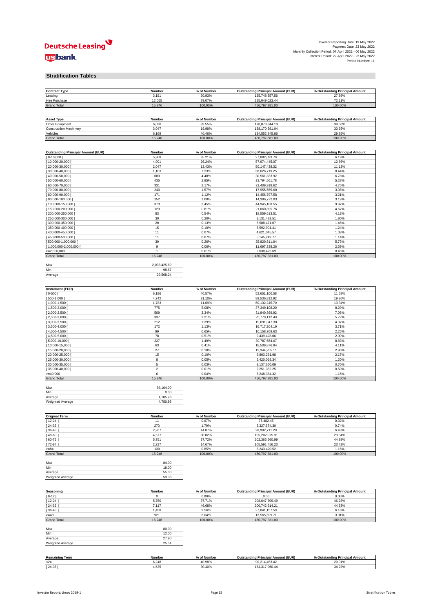

#### **Stratification Tables**

| <b>Contract Type</b><br>Leasing                                                                            | Number<br>3,191        | % of Number<br>20.93% | <b>Outstanding Principal Amount (EUR)</b><br>125,748,357.56 | % Outstanding Principal Amount<br>27.89% |
|------------------------------------------------------------------------------------------------------------|------------------------|-----------------------|-------------------------------------------------------------|------------------------------------------|
| Hire Purchase                                                                                              | 12,055                 | 79.07%                | 325,049,023.44                                              | 72.11%                                   |
| <b>Grand Total</b>                                                                                         | 15,246                 | 100.00%               | 450,797,381.00                                              | 100.00%                                  |
|                                                                                                            |                        |                       |                                                             |                                          |
| <b>Asset Type</b>                                                                                          | Number                 | % of Number           | <b>Outstanding Principal Amount (EUR)</b>                   | % Outstanding Principal Amount           |
| Other Equipment                                                                                            | 6,030                  | 39.55%                | 178,073,844.10                                              | 39.50%                                   |
| <b>Construction Machinery</b>                                                                              | 3,047                  | 19.99%                | 138,170,691.04                                              | 30.65%                                   |
| Vehicles<br><b>Grand Total</b>                                                                             | 6,169<br>15,246        | 40.46%<br>100.00%     | 134,552,845.86<br>450,797,381.00                            | 29.85%<br>100.00%                        |
|                                                                                                            |                        |                       |                                                             |                                          |
|                                                                                                            |                        |                       |                                                             |                                          |
| <b>Outstanding Principal Amount (EUR)</b><br>$0-10,000$                                                    | Number                 | % of Number           | <b>Outstanding Principal Amount (EUR)</b>                   | % Outstanding Principal Amount           |
| 10,000-20,000                                                                                              | 5,368<br>4,001         | 35.21%<br>26.24%      | 27,882,093.79<br>57,974,445.07                              | 6.19%<br>12.86%                          |
| 20,000-30,000                                                                                              | 2,047                  | 13.43%                | 50,147,438.32                                               | 11.12%                                   |
| 30,000-40,000                                                                                              | 1,103                  | 7.23%                 | 38,026,719.25                                               | 8.44%                                    |
| 40,000-50,000                                                                                              | 683                    | 4.48%                 | 30,561,833.92                                               | 6.78%                                    |
| 50,000-60,000                                                                                              | 435                    | 2.85%                 | 23,794,661.78                                               | 5.28%                                    |
| 60,000-70,000<br>70,000-80,000                                                                             | 331<br>240             | 2.17%<br>1.57%        | 21,409,918.62<br>17,955,655.60                              | 4.75%<br>3.98%                           |
| 80,000-90,000                                                                                              | 171                    | 1.12%                 | 14,456,797.58                                               | 3.21%                                    |
| 90,000-100,000                                                                                             | 152                    | 1.00%                 | 14,386,772.03                                               | 3.19%                                    |
| 100,000-150,000                                                                                            | 373                    | 2.45%                 | 44,945,108.55                                               | 9.97%                                    |
| 150,000-200,000                                                                                            | 123                    | 0.81%                 | 21,060,895.76                                               | 4.67%                                    |
| 200,000-250,000                                                                                            | 83                     | 0.54%                 | 18,559,613.51                                               | 4.12%                                    |
| 250,000-300,000                                                                                            | 30                     | 0.20%                 | 8,131,483.51                                                | 1.80%                                    |
| 300,000-350,000<br>350,000-400,000                                                                         | 20<br>15               | 0.13%<br>0.10%        | 6,588,471.07<br>5,592,901.41                                | 1.46%<br>1.24%                           |
| 400,000-450,000                                                                                            | 11                     | 0.07%                 | 4,621,045.57                                                | 1.03%                                    |
| 450,000-500,000                                                                                            | 11                     | 0.07%                 | 5, 145, 249. 77                                             | 1.14%                                    |
| $\left[500,000\text{-}1,000,000\right]$                                                                    | 39                     | 0.26%                 | 25,820,511.94                                               | 5.73%                                    |
| [1,000,000-2,000,000                                                                                       | 9                      | 0.06%                 | 11,697,338.26                                               | 2.59%                                    |
| $>=2,000,000$<br><b>Grand Total</b>                                                                        | $\mathbf{1}$<br>15,246 | 0.01%<br>100.00%      | 2,038,425.69<br>450,797,381.00                              | 0.45%<br>100.00%                         |
|                                                                                                            |                        |                       |                                                             |                                          |
| Max                                                                                                        | 2,038,425.69           |                       |                                                             |                                          |
| Min                                                                                                        | 98.67                  |                       |                                                             |                                          |
| Average                                                                                                    | 29,568.24              |                       |                                                             |                                          |
|                                                                                                            |                        |                       |                                                             |                                          |
| Instalment (EUR)                                                                                           | Number                 | % of Number           | <b>Outstanding Principal Amount (EUR)</b>                   | % Outstanding Principal Amount           |
| $] 0 - 500 [$                                                                                              | 6,186                  | 40.57%                | 52,651,100.58                                               | 11.68%                                   |
| $[500-1,000]$                                                                                              | 4,742                  | 31.10%                | 89,536,812.92                                               | 19.86%                                   |
| [1,000-1,500                                                                                               | 1,783                  | 11.69%                | 60,132,245.70                                               | 13.34%                                   |
| 1,500-2,000                                                                                                | 775                    | 5.08%                 | 37,349,108.20                                               | 8.29%                                    |
| 2,000-2,500<br>2,500-3,000                                                                                 | 509<br>337             | 3.34%<br>2.21%        | 31,840,369.92<br>25,779,112.40                              | 7.06%<br>5.72%                           |
| 3,000-3,500                                                                                                | 212                    | 1.39%                 | 19,691,047.30                                               | 4.37%                                    |
| $3,500 - 4,000$                                                                                            | 172                    | 1.13%                 | 16,717,204.19                                               | 3.71%                                    |
| $ 4,000-4,500 $                                                                                            | 99                     | 0.65%                 | 10,158,768.63                                               | 2.25%                                    |
| 4,500-5,000                                                                                                | 78                     | 0.51%                 | 9,439,428.06                                                | 2.09%                                    |
| 5,000-10,000                                                                                               | 227                    | 1.49%                 | 39,787,654.07                                               | 8.83%                                    |
| 10,000-15,000<br>15,000-20,000                                                                             | 63<br>27               | 0.41%<br>0.18%        | 18,509,876.94<br>13,344,255.11                              | 4.11%<br>2.96%                           |
| 20,000-25,000                                                                                              | 15                     | 0.10%                 | 9,803,231.98                                                | 2.17%                                    |
| $25,000-30,000$                                                                                            | $\bf8$                 | 0.05%                 | 5,420,068.34                                                | 1.20%                                    |
| 30,000-35,000                                                                                              | $\,$ 5 $\,$            | 0.03%                 | 3,137,360.09                                                | 0.70%                                    |
| 35,000-40,000                                                                                              | $\boldsymbol{2}$       | 0.01%                 | 2,251,352.25                                                | 0.50%                                    |
| $>= 40,000$                                                                                                | 6                      | 0.04%                 | 5,248,384.32                                                | 1.16%                                    |
| <b>Grand Total</b>                                                                                         | 15,246                 | 100.00%               | 450,797,381.00                                              | 100.00%                                  |
| Max                                                                                                        | 69,164.00              |                       |                                                             |                                          |
| Min                                                                                                        | 0.00                   |                       |                                                             |                                          |
| Average                                                                                                    | 1,105.28               |                       |                                                             |                                          |
| Weighted Average                                                                                           | 4,780.98               |                       |                                                             |                                          |
|                                                                                                            |                        |                       |                                                             |                                          |
| <b>Original Term</b>                                                                                       | Number                 | % of Number           | <b>Outstanding Principal Amount (EUR)</b>                   | % Outstanding Principal Amount           |
| $12 - 24$                                                                                                  | 11                     | 0.07%                 | 76,482.45                                                   | 0.02%                                    |
| 24-36                                                                                                      | 273                    | 1.79%                 | 3,327,674.30                                                | 0.74%                                    |
| 36-48<br>48-60                                                                                             | 2,267<br>4,577         | 14.87%<br>30.02%      | 28,992,711.20<br>105,202,075.31                             | 6.43%<br>23.34%                          |
| 60-72                                                                                                      | 5,751                  | 37.72%                | 202,363,560.99                                              | 44.89%                                   |
| $[72 - 84]$                                                                                                | 2,237                  | 14.67%                | 105,591,456.23                                              | 23.42%                                   |
| $= 84$                                                                                                     | 130                    | 0.85%                 | 5,243,420.52                                                | 1.16%                                    |
| <b>Grand Total</b>                                                                                         | 15,246                 | 100.00%               | 450,797,381.00                                              | 100.00%                                  |
| Max                                                                                                        | 84.00                  |                       |                                                             |                                          |
| Min                                                                                                        | 18.00                  |                       |                                                             |                                          |
| Average                                                                                                    | 55.00                  |                       |                                                             |                                          |
| Weighted Average                                                                                           | 59.36                  |                       |                                                             |                                          |
|                                                                                                            |                        |                       |                                                             |                                          |
| Seasoning                                                                                                  | Number                 | % of Number           | <b>Outstanding Principal Amount (EUR)</b>                   | % Outstanding Principal Amount           |
| $0-12$                                                                                                     | 0                      | 0.00%                 | 0.00                                                        | 0.00%                                    |
| 12-24                                                                                                      | 5,750                  | 37.71%                | 208,647,709.49                                              | 46.28%                                   |
| 24-36                                                                                                      | 7,117                  | 46.68%                | 200,742,914.21                                              | 44.53%                                   |
|                                                                                                            | 1,458                  | 9.56%                 | 27,841,157.59                                               | 6.18%<br>3.01%                           |
|                                                                                                            |                        |                       | 13,565,599.71                                               |                                          |
|                                                                                                            | 921                    | 6.04%                 |                                                             |                                          |
|                                                                                                            | 15,246                 | 100.00%               | 450,797,381.00                                              | 100.00%                                  |
|                                                                                                            | 80.00                  |                       |                                                             |                                          |
|                                                                                                            | 12.00                  |                       |                                                             |                                          |
|                                                                                                            | 27.90                  |                       |                                                             |                                          |
|                                                                                                            | 25.51                  |                       |                                                             |                                          |
|                                                                                                            |                        |                       |                                                             |                                          |
| 36-48<br>$=48$<br><b>Grand Total</b><br>Max<br>Min<br>Average<br>Weighted Average<br><b>Remaining Term</b> | Number                 | % of Number           | <b>Outstanding Principal Amount (EUR)</b>                   | % Outstanding Principal Amount           |

[ 24-36 ] 4,635 30.40% 154,317,960.44 34.23%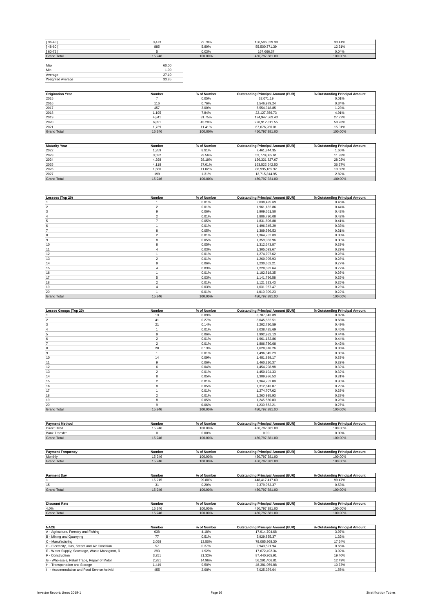| $[36 - 48]$        | 3,473  | 22.78%  | 150,596,529.38 | 33.41%  |
|--------------------|--------|---------|----------------|---------|
| $[48 - 60]$        | 885    | 5.80%   | 55,500,771.39  | 12.31%  |
| $[60 - 72]$        |        | 0.03%   | 167,666.37     | 0.04%   |
| <b>Grand Total</b> | 15.246 | 100.00% | 450,797,381.00 | 100.00% |
|                    |        |         |                |         |
| Max                | 60.00  |         |                |         |
| Min                | 1.00   |         |                |         |
| Average            | 27.10  |         |                |         |
| Weighted Average   | 33.85  |         |                |         |
|                    |        |         |                |         |

| <b>Origination Year</b> | Number | % of Number | <b>Outstanding Principal Amount (EUR)</b> | % Outstanding Principal Amount |
|-------------------------|--------|-------------|-------------------------------------------|--------------------------------|
| 2015                    |        | 0.05%       | 32.071.19                                 | 0.01%                          |
| 2016                    | 116    | 0.76%       | 1.546.979.24                              | 0.34%                          |
| 2017                    | 457    | 3.00%       | 5.554.318.85                              | 1.23%                          |
| 2018                    | 1.195  | 7.84%       | 22.127.356.73                             | 4.91%                          |
| 2019                    | 4.841  | 31.75%      | 124.947.563.43                            | 27.72%                         |
| 2020                    | 6,891  | 45.20%      | 228,912,811.55                            | 50.78%                         |
| 2021                    | 1.739  | 11.41%      | 67.676.280.01                             | 15.01%                         |
| <b>Grand Total</b>      | 15.246 | 100.00%     | 450.797.381.00                            | 100.00%                        |

| <b>Maturity Year</b> | Number | % of Number | <b>Outstanding Principal Amount (EUR)</b> | % Outstanding Principal Amount |
|----------------------|--------|-------------|-------------------------------------------|--------------------------------|
| 2022                 | 1.359  | 8.91%       | 7.461.844.35                              | 1.66%                          |
| 2023                 | 3.592  | 23.56%      | 53.770.085.61                             | 11.93%                         |
| 2024                 | 4.298  | 28.19%      | 126.331.827.67                            | 28.02%                         |
| 2025                 | 4.118  | 27.01%      | 163.522.642.50                            | 36.27%                         |
| 2026                 | 1.680  | 11.02%      | 86.995.165.92                             | 19.30%                         |
| 2027                 | 199    | 1.31%       | 12.715.814.95                             | 2.82%                          |
| <b>Grand Total</b>   | 15.246 | 100.00%     | 450.797.381.00                            | 100.00%                        |

| Lessees (Top 20)   | Number         | % of Number | <b>Outstanding Principal Amount (EUR)</b> | % Outstanding Principal Amount |
|--------------------|----------------|-------------|-------------------------------------------|--------------------------------|
|                    |                | 0.01%       | 2,038,425.69                              | 0.45%                          |
| $\overline{2}$     | $\overline{2}$ | 0.01%       | 1,961,182.86                              | 0.44%                          |
| 3                  | 9              | 0.06%       | 1,909,661.50                              | 0.42%                          |
|                    | $\overline{2}$ | 0.01%       | 1,886,730.08                              | 0.42%                          |
| 5                  |                | 0.05%       | 1,831,806.88                              | 0.41%                          |
| 6                  |                | 0.01%       | 1,496,345.29                              | 0.33%                          |
|                    | 8              | 0.05%       | 1,389,986.53                              | 0.31%                          |
| 8                  | $\overline{2}$ | 0.01%       | 1,364,752.09                              | 0.30%                          |
| 9                  | R              | 0.05%       | 1,359,083.96                              | 0.30%                          |
| 10                 | 8              | 0.05%       | 1,312,643.87                              | 0.29%                          |
| 11                 |                | 0.03%       | 1,305,093.67                              | 0.29%                          |
| 12                 |                | 0.01%       | 1,274,707.62                              | 0.28%                          |
| 13                 | $\overline{2}$ | 0.01%       | 1,260,995.93                              | 0.28%                          |
| 14                 | 9              | 0.06%       | 1,230,662.21                              | 0.27%                          |
| 15                 |                | 0.03%       | 1,228,082.64                              | 0.27%                          |
| 16                 |                | 0.01%       | 1,182,818.35                              | 0.26%                          |
| 17                 | 5              | 0.03%       | 1,141,796.58                              | 0.25%                          |
| 18                 | $\overline{2}$ | 0.01%       | 1,121,323.43                              | 0.25%                          |
| 19                 |                | 0.03%       | 1,031,967.47                              | 0.23%                          |
| 20                 |                | 0.01%       | 1,010,309.23                              | 0.22%                          |
| <b>Grand Total</b> | 15,246         | 100.00%     | 450,797,381.00                            | 100.00%                        |

| Lessee Groups (Top 20) | <b>Number</b>  | % of Number | <b>Outstanding Principal Amount (EUR)</b> | % Outstanding Principal Amount |
|------------------------|----------------|-------------|-------------------------------------------|--------------------------------|
|                        | 13             | 0.09%       | 3,707,343.89                              | 0.82%                          |
|                        | 41             | 0.27%       | 3,045,852.51                              | 0.68%                          |
|                        | 21             | 0.14%       | 2,202,720.59                              | 0.49%                          |
|                        |                | 0.01%       | 2,038,425.69                              | 0.45%                          |
|                        | 9              | 0.06%       | 1,992,982.13                              | 0.44%                          |
|                        | $\overline{2}$ | 0.01%       | 1,961,182.86                              | 0.44%                          |
|                        | $\overline{2}$ | 0.01%       | 1,886,730.08                              | 0.42%                          |
| l8                     | 20             | 0.13%       | 1.628.818.26                              | 0.36%                          |
| 9                      |                | 0.01%       | 1,496,345.29                              | 0.33%                          |
| 10                     | 14             | 0.09%       | 1,481,899.17                              | 0.33%                          |
| 11                     | 9              | 0.06%       | 1,460,210.37                              | 0.32%                          |
| 12                     | 6              | 0.04%       | 1,454,298.98                              | 0.32%                          |
| 13                     | $\overline{2}$ | 0.01%       | 1,450,194.33                              | 0.32%                          |
| 14                     | 8              | 0.05%       | 1,389,986.53                              | 0.31%                          |
| 15                     | $\overline{2}$ | 0.01%       | 1,364,752.09                              | 0.30%                          |
| 16                     | 8              | 0.05%       | 1,312,643.87                              | 0.29%                          |
| 17                     |                | 0.01%       | 1,274,707.62                              | 0.28%                          |
| 18                     | $\overline{2}$ | 0.01%       | 1,260,995.93                              | 0.28%                          |
| 19                     | 8              | 0.05%       | 1,245,560.83                              | 0.28%                          |
| 20                     | 9              | 0.06%       | 1,230,662.21                              | 0.27%                          |
| <b>Grand Total</b>     | 15,246         | 100.00%     | 450,797,381.00                            | 100.00%                        |

| <b>Payment Method</b>    | <b>Number</b> | % of Number | <b>Outstanding Principal Amount (EUR)</b> | % Outstanding Principal Amount |
|--------------------------|---------------|-------------|-------------------------------------------|--------------------------------|
| <b>Direct Debit</b>      | 15.246        | 100.00%     | 450,797,381.00                            | 100.00%                        |
| <b>Bank Transfer</b>     |               | 0.00%       | 0.00                                      | 0.00%                          |
| <b>Grand Total</b>       | 15.246        | 100.00%     | 450.797.381.00                            | 100.00%                        |
|                          |               |             |                                           |                                |
| <b>Payment Frequency</b> | Number        | % of Number | <b>Outstanding Principal Amount (EUR)</b> | % Outstanding Principal Amount |
| Monthly                  | 15.246        | 100.00%     | 450.797.381.00                            | 100.00%                        |
| <b>Grand Total</b>       | 15.246        | 100.00%     | 450.797.381.00                            | 100.00%                        |

| <b>Payment Day</b>   | Number | % of Number | <b>Outstanding Principal Amount (EUR)</b> | % Outstanding Principal Amount |
|----------------------|--------|-------------|-------------------------------------------|--------------------------------|
|                      | 15.215 | 99.80%      | 448,417,417.63                            | 99.47%                         |
| 15                   | 31     | 0.20%       | 2.379.963.37                              | 0.53%                          |
| <b>Grand Total</b>   | 15.246 | 100.00%     | 450,797,381.00                            | 100.00%                        |
|                      |        |             |                                           |                                |
|                      |        |             |                                           |                                |
| <b>Discount Rate</b> | Number | % of Number | <b>Outstanding Principal Amount (EUR)</b> | % Outstanding Principal Amount |
| 4.0%                 | 15.246 | 100.00%     | 450.797.381.00                            | 100.00%                        |
| <b>Grand Total</b>   | 15.246 | 100.00%     | 450.797.381.00                            | 100.00%                        |

| <b>NACE</b>                                   | Number | % of Number | <b>Outstanding Principal Amount (EUR)</b> | % Outstanding Principal Amount |
|-----------------------------------------------|--------|-------------|-------------------------------------------|--------------------------------|
| A - Agriculture, Forestry and Fishing         | 638    | 4.18%       | 17.914.704.68                             | 3.97%                          |
| B - Mining and Quarrying                      | 77     | 0.51%       | 5.929.855.37                              | 1.32%                          |
| C - Manufacturing                             | 2.058  | 13.50%      | 79.085.968.30                             | 17.54%                         |
| D - Electricity, Gas, Steam and Air Condition | 57     | 0.37%       | 2.943.521.94                              | 0.65%                          |
| E - Water Supply; Sewerage, Waste Managmnt, R | 293    | 1.92%       | 17.672.492.34                             | 3.92%                          |
| F - Construction                              | 3.251  | 21.32%      | 87.440.965.91                             | 19.40%                         |
| G - Wholesale, Retail Trade, Repair of Motor  | 2.281  | 14.96%      | 56.291.406.81                             | 12.49%                         |
| H - Transportation and Storage                | 1.449  | 9.50%       | 48.381.959.88                             | 10.73%                         |
| - Accommodation and Food Service Activiti     | 455    | 2.98%       | 7.025.376.64                              | 1.56%                          |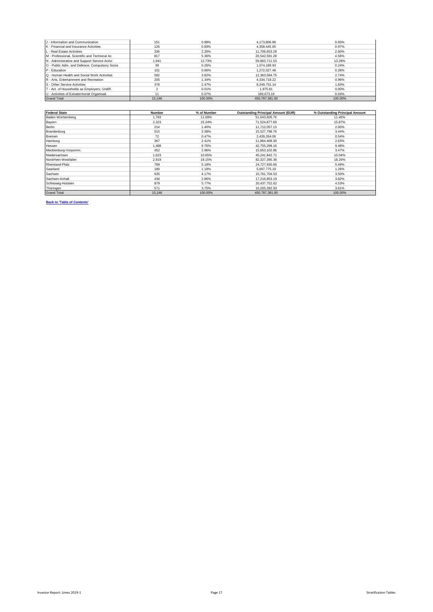| J - Information and Communication             | 151    | 0.99%   | 4.173.806.86   | 0.93%   |
|-----------------------------------------------|--------|---------|----------------|---------|
| K - Financial and Insurance Activities        | 126    | 0.83%   | 4.358.445.65   | 0.97%   |
| L - Real Estate Activities                    | 336    | 2.20%   | 11.706.653.29  | 2.60%   |
| M - Professional, Scientific and Technical Ac | 817    | 5.36%   | 20.542.591.28  | 4.56%   |
| N - Administrative and Support Service Activi | 1.941  | 12.73%  | 59,863,711.53  | 13.28%  |
| O - Public Adm. and Defence; Compulsory Socia | 39     | 0.26%   | 1.074.189.93   | 0.24%   |
| P - Education                                 | 101    | 0.66%   | 1.272.027.48   | 0.28%   |
| Q - Human Health and Social Work Activities   | 582    | 3.82%   | 12.363.584.75  | 2.74%   |
| R - Arts. Entertainment and Recreation        | 205    | 1.34%   | 4.334.718.22   | 0.96%   |
| S - Other Service Activities                  | 376    | 2.47%   | 8.249.751.14   | 1.83%   |
| T - Act. of Households as Employers; Undiff.  |        | 0.01%   | 1.975.81       | 0.00%   |
| U - Activities of Extraterritorial Organisati | 11     | 0.07%   | 169.673.19     | 0.04%   |
| <b>Grand Total</b>                            | 15.246 | 100.00% | 450.797.381.00 | 100.00% |

| <b>Federal State</b> | Number | % of Number | <b>Outstanding Principal Amount (EUR)</b> | % Outstanding Principal Amount |
|----------------------|--------|-------------|-------------------------------------------|--------------------------------|
| Baden-Württemberg    | 1.783  | 11.69%      | 51,643,926.76                             | 11.46%                         |
| Bayern               | 2.323  | 15.24%      | 71,524,877.69                             | 15.87%                         |
| Berlin               | 214    | 1.40%       | 11,712,057.13                             | 2.60%                          |
| Brandenburg          | 515    | 3.38%       | 15,527,798.76                             | 3.44%                          |
| Bremen               | 72     | 0.47%       | 2.439.264.06                              | 0.54%                          |
| Hamburg              | 367    | 2.41%       | 11.864.408.39                             | 2.63%                          |
| Hessen               | 1.488  | 9.76%       | 42,755,298.16                             | 9.48%                          |
| Mecklenburg-Vorpomm. | 452    | 2.96%       | 15,653,102.86                             | 3.47%                          |
| Niedersachsen        | 1.623  | 10.65%      | 45,241,842.71                             | 10.04%                         |
| Nordrhein-Westfalen  | 2.919  | 19.15%      | 82,327,395.36                             | 18.26%                         |
| Rheinland-Pfalz      | 789    | 5.18%       | 24,727,930.66                             | 5.49%                          |
| Saarland             | 180    | 1.18%       | 5,697,775.19                              | 1.26%                          |
| Sachsen              | 635    | 4.17%       | 15,761,704.53                             | 3.50%                          |
| Sachsen-Anhalt       | 436    | 2.86%       | 17,216,853.19                             | 3.82%                          |
| Schleswig-Holstein   | 879    | 5.77%       | 20,437,752.62                             | 4.53%                          |
| Thüringen            | 571    | 3.75%       | 16,265,392.93                             | 3.61%                          |
| <b>Grand Total</b>   | 15,246 | 100.00%     | 450,797,381.00                            | 100.00%                        |